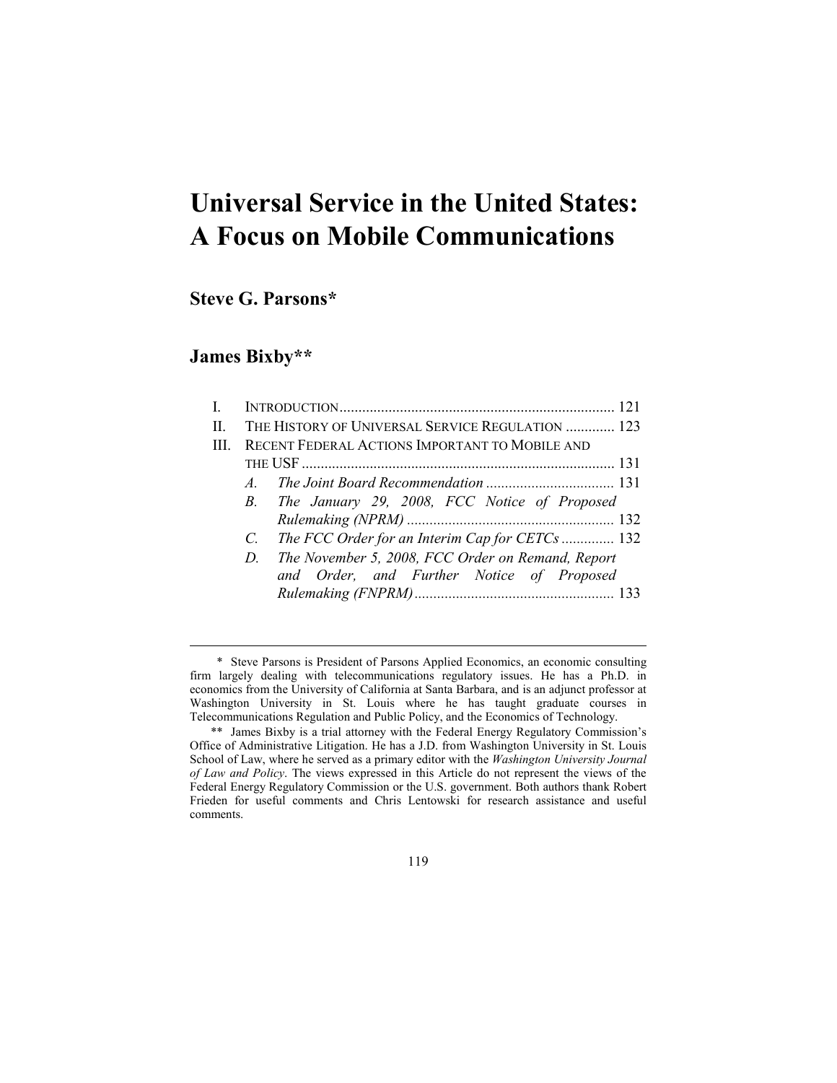# **Universal Service in the United States: A Focus on Mobile Communications**

**Steve G. Parsons\*** 

# **James Bixby\*\***

<u>.</u>

| $\mathbf{I}$ |    |                                                    |  |
|--------------|----|----------------------------------------------------|--|
| П            |    | THE HISTORY OF UNIVERSAL SERVICE REGULATION  123   |  |
| Ш            |    | RECENT FEDERAL ACTIONS IMPORTANT TO MOBILE AND     |  |
|              |    |                                                    |  |
|              |    |                                                    |  |
|              |    | B. The January 29, 2008, FCC Notice of Proposed    |  |
|              |    |                                                    |  |
|              |    | C. The FCC Order for an Interim Cap for CETCs  132 |  |
|              | D. | The November 5, 2008, FCC Order on Remand, Report  |  |
|              |    | and Order, and Further Notice of Proposed          |  |
|              |    |                                                    |  |
|              |    |                                                    |  |

119

 <sup>\*</sup> Steve Parsons is President of Parsons Applied Economics, an economic consulting firm largely dealing with telecommunications regulatory issues. He has a Ph.D. in economics from the University of California at Santa Barbara, and is an adjunct professor at Washington University in St. Louis where he has taught graduate courses in Telecommunications Regulation and Public Policy, and the Economics of Technology.

 <sup>\*\*</sup> James Bixby is a trial attorney with the Federal Energy Regulatory Commission's Office of Administrative Litigation. He has a J.D. from Washington University in St. Louis School of Law, where he served as a primary editor with the *Washington University Journal of Law and Policy*. The views expressed in this Article do not represent the views of the Federal Energy Regulatory Commission or the U.S. government. Both authors thank Robert Frieden for useful comments and Chris Lentowski for research assistance and useful comments.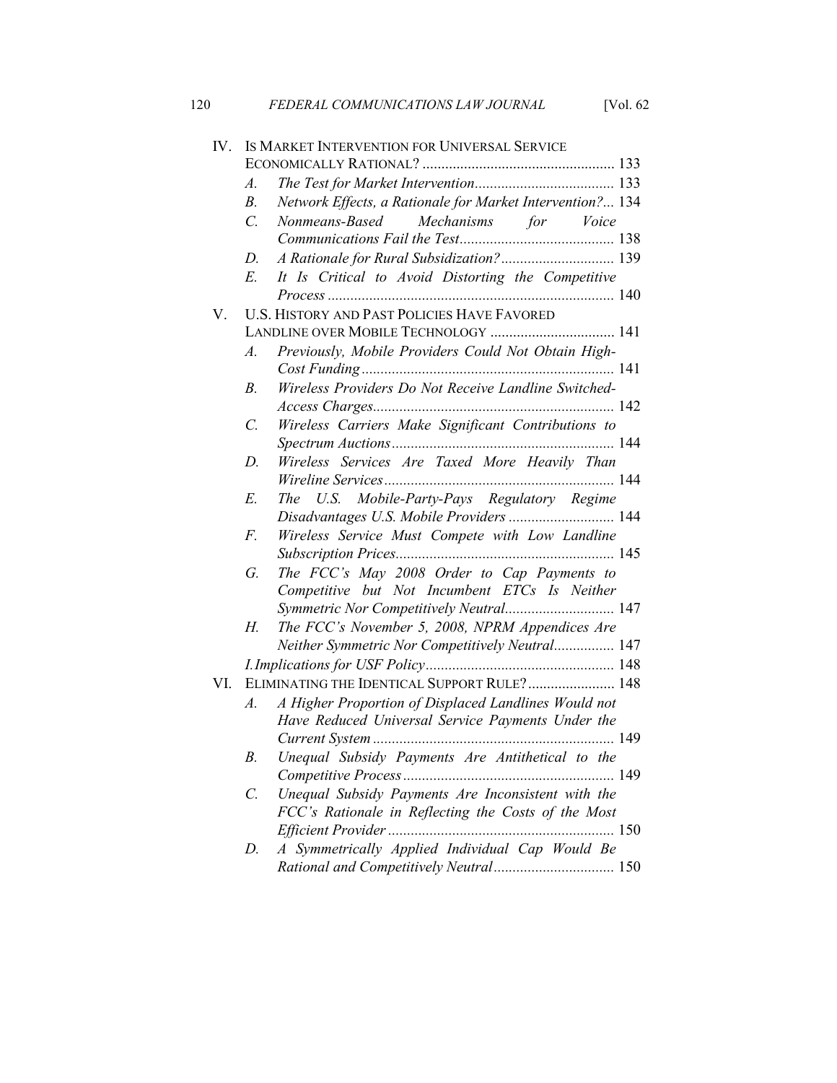|     | $\mathcal{A}.$   |                                                           |
|-----|------------------|-----------------------------------------------------------|
|     | $B$ .            | Network Effects, a Rationale for Market Intervention? 134 |
|     | $\overline{C}$ . | Nonmeans-Based<br>Mechanisms for Voice                    |
|     |                  |                                                           |
|     | D.               | A Rationale for Rural Subsidization? 139                  |
|     | E                | It Is Critical to Avoid Distorting the Competitive        |
|     |                  |                                                           |
| V.  |                  | <b>U.S. HISTORY AND PAST POLICIES HAVE FAVORED</b>        |
|     |                  | LANDLINE OVER MOBILE TECHNOLOGY  141                      |
|     | $\mathcal{A}$ .  | Previously, Mobile Providers Could Not Obtain High-       |
|     |                  |                                                           |
|     | B.               | Wireless Providers Do Not Receive Landline Switched-      |
|     |                  |                                                           |
|     | $\overline{C}$ . | Wireless Carriers Make Significant Contributions to       |
|     |                  |                                                           |
|     | D.               | Wireless Services Are Taxed More Heavily Than             |
|     |                  |                                                           |
|     | E.               | The U.S. Mobile-Party-Pays Regulatory Regime              |
|     |                  | Disadvantages U.S. Mobile Providers  144                  |
|     | F.               | Wireless Service Must Compete with Low Landline           |
|     |                  |                                                           |
|     | G.               | The FCC's May 2008 Order to Cap Payments to               |
|     |                  | Competitive but Not Incumbent ETCs Is Neither             |
|     |                  | Symmetric Nor Competitively Neutral 147                   |
|     | Н.               | The FCC's November 5, 2008, NPRM Appendices Are           |
|     |                  | Neither Symmetric Nor Competitively Neutral 147           |
|     |                  |                                                           |
| VI. |                  | ELIMINATING THE IDENTICAL SUPPORT RULE? 148               |
|     | $\mathcal{A}.$   | A Higher Proportion of Displaced Landlines Would not      |
|     |                  | Have Reduced Universal Service Payments Under the         |
|     |                  |                                                           |
|     | $B$ .            | Unequal Subsidy Payments Are Antithetical to the          |
|     |                  |                                                           |
|     | $\mathcal{C}$ .  | Unequal Subsidy Payments Are Inconsistent with the        |
|     |                  | FCC's Rationale in Reflecting the Costs of the Most       |
|     |                  |                                                           |
|     | D.               | A Symmetrically Applied Individual Cap Would Be           |
|     |                  | Rational and Competitively Neutral 150                    |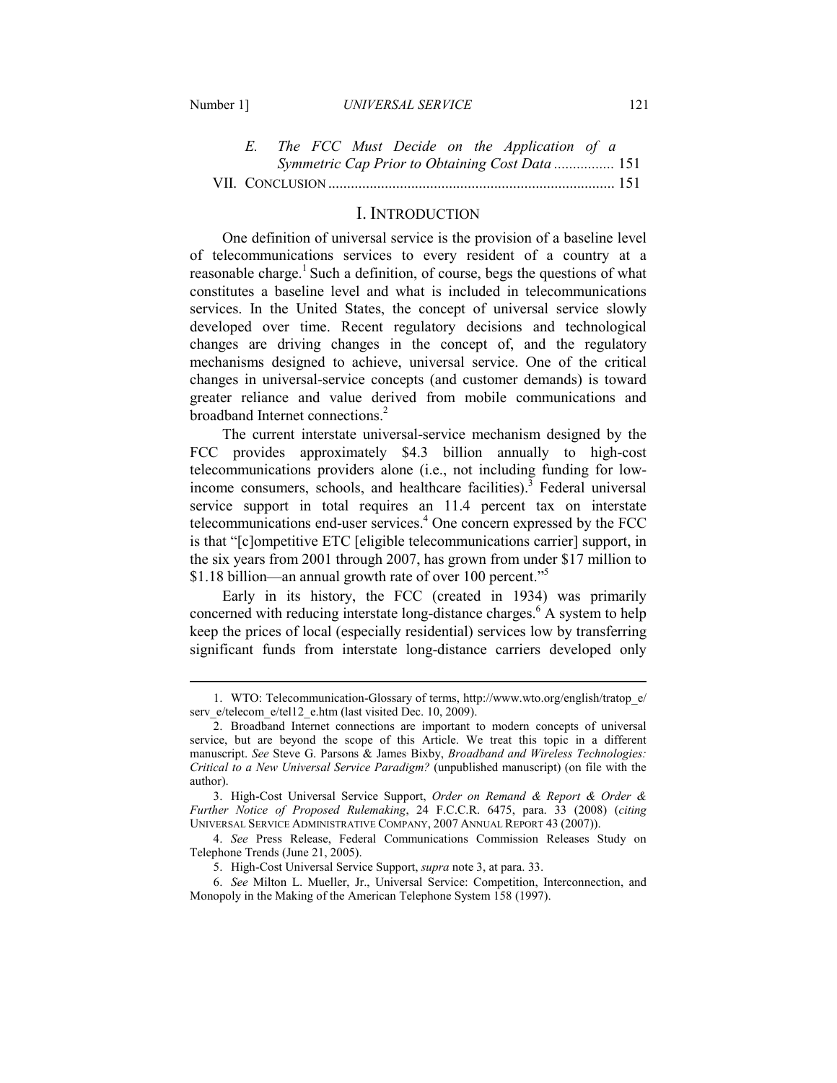-

|  |  |  |  | The FCC Must Decide on the Application of a    |       |
|--|--|--|--|------------------------------------------------|-------|
|  |  |  |  | Symmetric Cap Prior to Obtaining Cost Data 151 |       |
|  |  |  |  |                                                | . 151 |

## I. INTRODUCTION

One definition of universal service is the provision of a baseline level of telecommunications services to every resident of a country at a reasonable charge.<sup>1</sup> Such a definition, of course, begs the questions of what constitutes a baseline level and what is included in telecommunications services. In the United States, the concept of universal service slowly developed over time. Recent regulatory decisions and technological changes are driving changes in the concept of, and the regulatory mechanisms designed to achieve, universal service. One of the critical changes in universal-service concepts (and customer demands) is toward greater reliance and value derived from mobile communications and broadband Internet connections.<sup>2</sup>

The current interstate universal-service mechanism designed by the FCC provides approximately \$4.3 billion annually to high-cost telecommunications providers alone (i.e., not including funding for lowincome consumers, schools, and healthcare facilities).<sup>3</sup> Federal universal service support in total requires an 11.4 percent tax on interstate telecommunications end-user services.<sup>4</sup> One concern expressed by the FCC is that "[c]ompetitive ETC [eligible telecommunications carrier] support, in the six years from 2001 through 2007, has grown from under \$17 million to \$1.18 billion—an annual growth rate of over 100 percent."<sup>5</sup>

Early in its history, the FCC (created in 1934) was primarily concerned with reducing interstate long-distance charges.<sup>6</sup> A system to help keep the prices of local (especially residential) services low by transferring significant funds from interstate long-distance carriers developed only

 <sup>1.</sup> WTO: Telecommunication-Glossary of terms, http://www.wto.org/english/tratop\_e/ serv\_e/telecom\_e/tel12\_e.htm (last visited Dec. 10, 2009).

 <sup>2.</sup> Broadband Internet connections are important to modern concepts of universal service, but are beyond the scope of this Article. We treat this topic in a different manuscript. *See* Steve G. Parsons & James Bixby, *Broadband and Wireless Technologies: Critical to a New Universal Service Paradigm?* (unpublished manuscript) (on file with the author).

 <sup>3.</sup> High-Cost Universal Service Support, *Order on Remand & Report & Order & Further Notice of Proposed Rulemaking*, 24 F.C.C.R. 6475, para. 33 (2008) (*citing* UNIVERSAL SERVICE ADMINISTRATIVE COMPANY, 2007 ANNUAL REPORT 43 (2007)).

 <sup>4.</sup> *See* Press Release, Federal Communications Commission Releases Study on Telephone Trends (June 21, 2005).

 <sup>5.</sup> High-Cost Universal Service Support, *supra* note 3, at para. 33.

 <sup>6.</sup> *See* Milton L. Mueller, Jr., Universal Service: Competition, Interconnection, and Monopoly in the Making of the American Telephone System 158 (1997).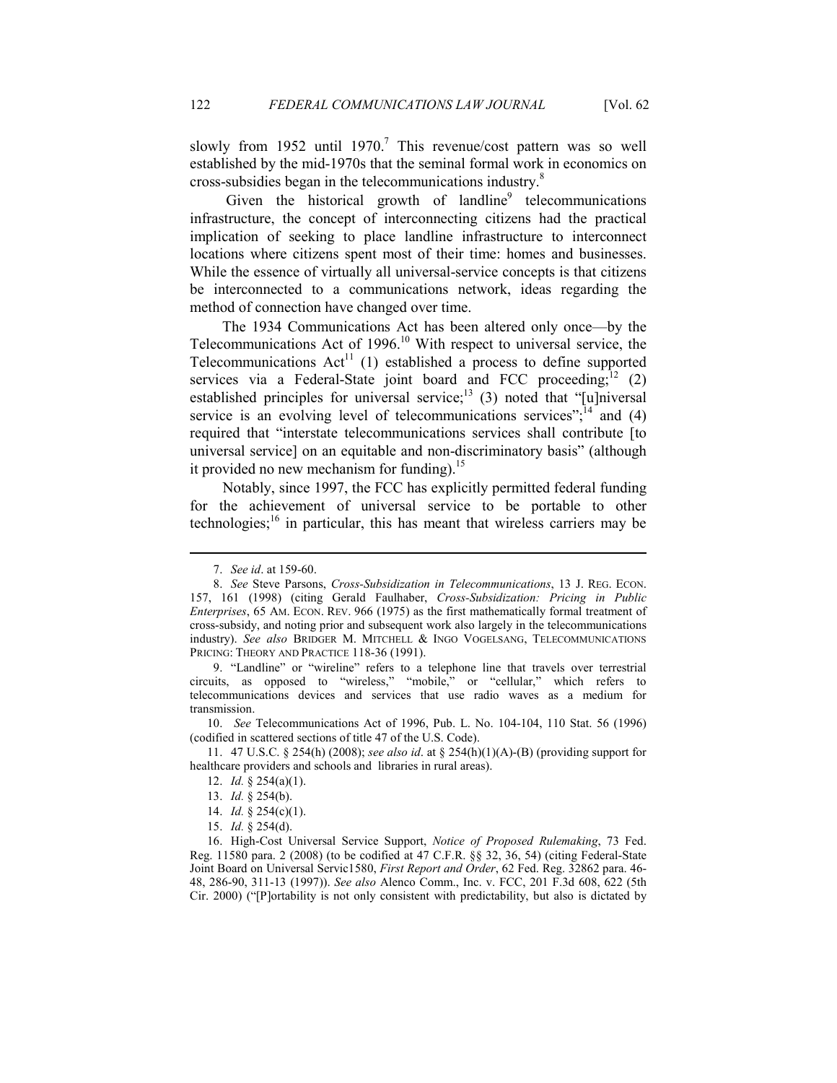slowly from 1952 until 1970.<sup>7</sup> This revenue/cost pattern was so well established by the mid-1970s that the seminal formal work in economics on cross-subsidies began in the telecommunications industry.<sup>8</sup>

Given the historical growth of landline<sup>9</sup> telecommunications infrastructure, the concept of interconnecting citizens had the practical implication of seeking to place landline infrastructure to interconnect locations where citizens spent most of their time: homes and businesses. While the essence of virtually all universal-service concepts is that citizens be interconnected to a communications network, ideas regarding the method of connection have changed over time.

The 1934 Communications Act has been altered only once—by the Telecommunications Act of  $1996$ <sup>10</sup> With respect to universal service, the Telecommunications  $Act^{11}$  (1) established a process to define supported services via a Federal-State joint board and FCC proceeding;<sup>12</sup> (2) established principles for universal service;<sup>13</sup> (3) noted that "[u]niversal service is an evolving level of telecommunications services":<sup>14</sup> and (4) required that "interstate telecommunications services shall contribute [to universal service] on an equitable and non-discriminatory basis" (although it provided no new mechanism for funding).<sup>15</sup>

 Notably, since 1997, the FCC has explicitly permitted federal funding for the achievement of universal service to be portable to other technologies;<sup>16</sup> in particular, this has meant that wireless carriers may be

<u>.</u>

 9. "Landline" or "wireline" refers to a telephone line that travels over terrestrial circuits, as opposed to "wireless," "mobile," or "cellular," which refers to telecommunications devices and services that use radio waves as a medium for transmission.

 10. *See* Telecommunications Act of 1996, Pub. L. No. 104-104, 110 Stat. 56 (1996) (codified in scattered sections of title 47 of the U.S. Code).

 11. 47 U.S.C. § 254(h) (2008); *see also id*. at § 254(h)(1)(A)-(B) (providing support for healthcare providers and schools and libraries in rural areas).

 <sup>7.</sup> *See id*. at 159-60.

 <sup>8.</sup> *See* Steve Parsons, *Cross-Subsidization in Telecommunications*, 13 J. REG. ECON. 157, 161 (1998) (citing Gerald Faulhaber, *Cross-Subsidization: Pricing in Public Enterprises*, 65 AM. ECON. REV. 966 (1975) as the first mathematically formal treatment of cross-subsidy, and noting prior and subsequent work also largely in the telecommunications industry). *See also* BRIDGER M. MITCHELL & INGO VOGELSANG, TELECOMMUNICATIONS PRICING: THEORY AND PRACTICE 118-36 (1991).

 <sup>12.</sup> *Id.* § 254(a)(1).

 <sup>13.</sup> *Id.* § 254(b).

 <sup>14.</sup> *Id.* § 254(c)(1).

 <sup>15.</sup> *Id.* § 254(d).

<sup>16.</sup> High-Cost Universal Service Support, *Notice of Proposed Rulemaking*, 73 Fed. Reg. 11580 para. 2 (2008) (to be codified at 47 C.F.R. §§ 32, 36, 54) (citing Federal-State Joint Board on Universal Servic1580, *First Report and Order*, 62 Fed. Reg. 32862 para. 46- 48, 286-90, 311-13 (1997)). *See also* Alenco Comm., Inc. v. FCC, 201 F.3d 608, 622 (5th Cir. 2000) ("[P]ortability is not only consistent with predictability, but also is dictated by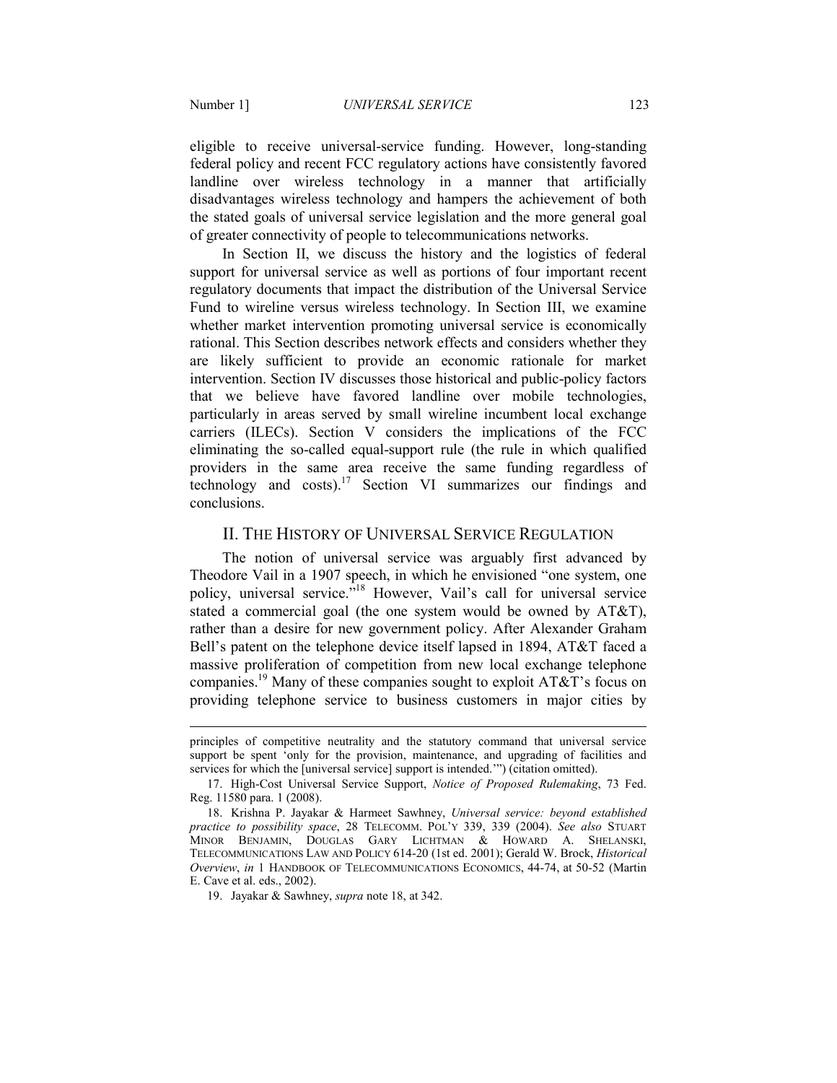-

eligible to receive universal-service funding. However, long-standing federal policy and recent FCC regulatory actions have consistently favored landline over wireless technology in a manner that artificially disadvantages wireless technology and hampers the achievement of both the stated goals of universal service legislation and the more general goal of greater connectivity of people to telecommunications networks.

In Section II, we discuss the history and the logistics of federal support for universal service as well as portions of four important recent regulatory documents that impact the distribution of the Universal Service Fund to wireline versus wireless technology. In Section III, we examine whether market intervention promoting universal service is economically rational. This Section describes network effects and considers whether they are likely sufficient to provide an economic rationale for market intervention. Section IV discusses those historical and public-policy factors that we believe have favored landline over mobile technologies, particularly in areas served by small wireline incumbent local exchange carriers (ILECs). Section V considers the implications of the FCC eliminating the so-called equal-support rule (the rule in which qualified providers in the same area receive the same funding regardless of technology and costs).<sup>17</sup> Section VI summarizes our findings and conclusions.

# II. THE HISTORY OF UNIVERSAL SERVICE REGULATION

The notion of universal service was arguably first advanced by Theodore Vail in a 1907 speech, in which he envisioned "one system, one policy, universal service.<sup>718</sup> However, Vail's call for universal service stated a commercial goal (the one system would be owned by AT&T), rather than a desire for new government policy. After Alexander Graham Bell's patent on the telephone device itself lapsed in 1894, AT&T faced a massive proliferation of competition from new local exchange telephone companies.<sup>19</sup> Many of these companies sought to exploit AT&T's focus on providing telephone service to business customers in major cities by

principles of competitive neutrality and the statutory command that universal service support be spent 'only for the provision, maintenance, and upgrading of facilities and services for which the [universal service] support is intended.'") (citation omitted).

<sup>17.</sup> High-Cost Universal Service Support, *Notice of Proposed Rulemaking*, 73 Fed. Reg. 11580 para. 1 (2008).

 <sup>18.</sup> Krishna P. Jayakar & Harmeet Sawhney, *Universal service: beyond established practice to possibility space*, 28 TELECOMM. POL'Y 339, 339 (2004). *See also* STUART MINOR BENJAMIN, DOUGLAS GARY LICHTMAN & HOWARD A. SHELANSKI, TELECOMMUNICATIONS LAW AND POLICY 614-20 (1st ed. 2001); Gerald W. Brock, *Historical Overview*, *in* 1 HANDBOOK OF TELECOMMUNICATIONS ECONOMICS, 44-74, at 50-52 (Martin E. Cave et al. eds., 2002).

 <sup>19.</sup> Jayakar & Sawhney, *supra* note 18, at 342.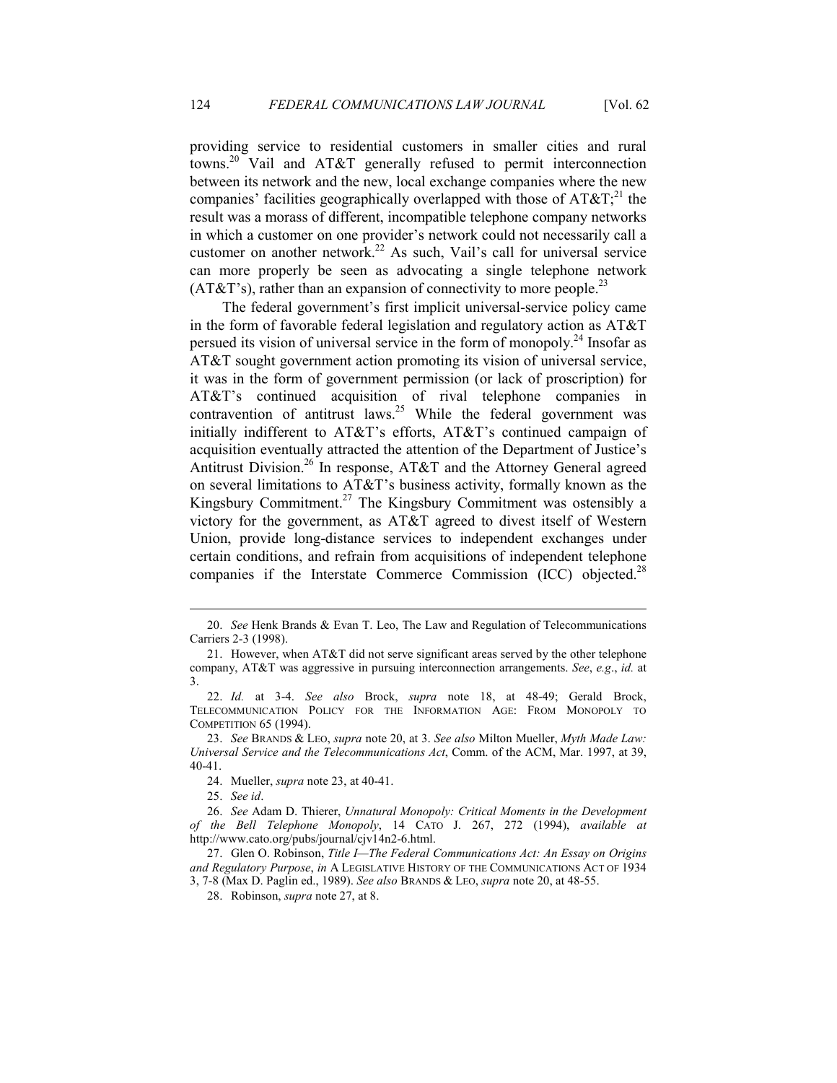providing service to residential customers in smaller cities and rural towns.<sup>20</sup> Vail and AT&T generally refused to permit interconnection between its network and the new, local exchange companies where the new companies' facilities geographically overlapped with those of  $AT\&T$ ;<sup>21</sup> the result was a morass of different, incompatible telephone company networks in which a customer on one provider's network could not necessarily call a customer on another network.<sup>22</sup> As such, Vail's call for universal service can more properly be seen as advocating a single telephone network  $(AT&T's)$ , rather than an expansion of connectivity to more people.<sup>23</sup>

The federal government's first implicit universal-service policy came in the form of favorable federal legislation and regulatory action as AT&T persued its vision of universal service in the form of monopoly.<sup>24</sup> Insofar as AT&T sought government action promoting its vision of universal service, it was in the form of government permission (or lack of proscription) for AT&T's continued acquisition of rival telephone companies in contravention of antitrust laws.<sup>25</sup> While the federal government was initially indifferent to AT&T's efforts, AT&T's continued campaign of acquisition eventually attracted the attention of the Department of Justice's Antitrust Division.<sup>26</sup> In response, AT&T and the Attorney General agreed on several limitations to AT&T's business activity, formally known as the Kingsbury Commitment.<sup>27</sup> The Kingsbury Commitment was ostensibly a victory for the government, as AT&T agreed to divest itself of Western Union, provide long-distance services to independent exchanges under certain conditions, and refrain from acquisitions of independent telephone companies if the Interstate Commerce Commission  $(ICC)$  objected.<sup>28</sup>

25. *See id*.

 <sup>20.</sup> *See* Henk Brands & Evan T. Leo, The Law and Regulation of Telecommunications Carriers 2-3 (1998).

 <sup>21.</sup> However, when AT&T did not serve significant areas served by the other telephone company, AT&T was aggressive in pursuing interconnection arrangements. *See*, *e.g*., *id.* at 3.

 <sup>22.</sup> *Id.* at 3-4. *See also* Brock, *supra* note 18, at 48-49; Gerald Brock, TELECOMMUNICATION POLICY FOR THE INFORMATION AGE: FROM MONOPOLY TO COMPETITION 65 (1994).

 <sup>23.</sup> *See* BRANDS & LEO, *supra* note 20, at 3. *See also* Milton Mueller, *Myth Made Law: Universal Service and the Telecommunications Act*, Comm. of the ACM, Mar. 1997, at 39, 40-41.

 <sup>24.</sup> Mueller, *supra* note 23, at 40-41.

 <sup>26.</sup> *See* Adam D. Thierer, *Unnatural Monopoly: Critical Moments in the Development of the Bell Telephone Monopoly*, 14 CATO J. 267, 272 (1994), *available at* http://www.cato.org/pubs/journal/cjv14n2-6.html.

 <sup>27.</sup> Glen O. Robinson, *Title I—The Federal Communications Act: An Essay on Origins and Regulatory Purpose*, *in* A LEGISLATIVE HISTORY OF THE COMMUNICATIONS ACT OF 1934 3, 7-8 (Max D. Paglin ed., 1989). *See also* BRANDS & LEO, *supra* note 20, at 48-55.

 <sup>28.</sup> Robinson, *supra* note 27, at 8.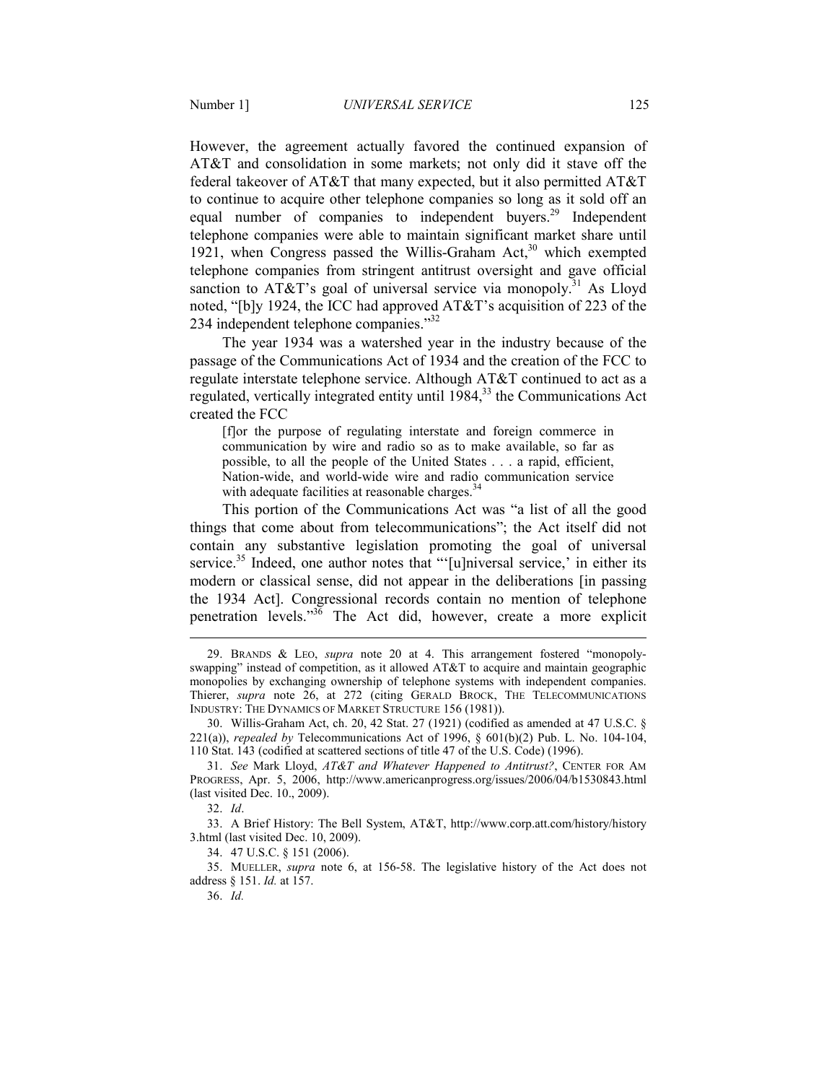However, the agreement actually favored the continued expansion of AT&T and consolidation in some markets; not only did it stave off the federal takeover of AT&T that many expected, but it also permitted AT&T to continue to acquire other telephone companies so long as it sold off an equal number of companies to independent buyers.<sup>29</sup> Independent telephone companies were able to maintain significant market share until 1921, when Congress passed the Willis-Graham Act, $30$  which exempted telephone companies from stringent antitrust oversight and gave official sanction to AT&T's goal of universal service via monopoly.<sup>31</sup> As Lloyd noted, "[b]y 1924, the ICC had approved AT&T's acquisition of 223 of the

234 independent telephone companies."<sup>32</sup>

The year 1934 was a watershed year in the industry because of the passage of the Communications Act of 1934 and the creation of the FCC to regulate interstate telephone service. Although AT&T continued to act as a regulated, vertically integrated entity until 1984,<sup>33</sup> the Communications Act created the FCC

[f]or the purpose of regulating interstate and foreign commerce in communication by wire and radio so as to make available, so far as possible, to all the people of the United States . . . a rapid, efficient, Nation-wide, and world-wide wire and radio communication service with adequate facilities at reasonable charges.<sup>34</sup>

This portion of the Communications Act was "a list of all the good things that come about from telecommunications"; the Act itself did not contain any substantive legislation promoting the goal of universal service.<sup>35</sup> Indeed, one author notes that "'[u]niversal service,' in either its modern or classical sense, did not appear in the deliberations [in passing the 1934 Act]. Congressional records contain no mention of telephone penetration levels."<sup>36</sup> The Act did, however, create a more explicit

 <sup>29.</sup> BRANDS & LEO, *supra* note 20 at 4. This arrangement fostered "monopolyswapping" instead of competition, as it allowed AT&T to acquire and maintain geographic monopolies by exchanging ownership of telephone systems with independent companies. Thierer, *supra* note 26, at 272 (citing GERALD BROCK, THE TELECOMMUNICATIONS INDUSTRY: THE DYNAMICS OF MARKET STRUCTURE 156 (1981)).

 <sup>30.</sup> Willis-Graham Act, ch. 20, 42 Stat. 27 (1921) (codified as amended at 47 U.S.C. § 221(a)), *repealed by* Telecommunications Act of 1996, § 601(b)(2) Pub. L. No. 104-104, 110 Stat. 143 (codified at scattered sections of title 47 of the U.S. Code) (1996).

 <sup>31.</sup> *See* Mark Lloyd, *AT&T and Whatever Happened to Antitrust?*, CENTER FOR AM PROGRESS, Apr. 5, 2006, http://www.americanprogress.org/issues/2006/04/b1530843.html (last visited Dec. 10., 2009).

 <sup>32.</sup> *Id*.

 <sup>33.</sup> A Brief History: The Bell System, AT&T, http://www.corp.att.com/history/history 3.html (last visited Dec. 10, 2009).

 <sup>34. 47</sup> U.S.C. § 151 (2006).

 <sup>35.</sup> MUELLER, *supra* note 6, at 156-58. The legislative history of the Act does not address § 151. *Id.* at 157.

 <sup>36.</sup> *Id.*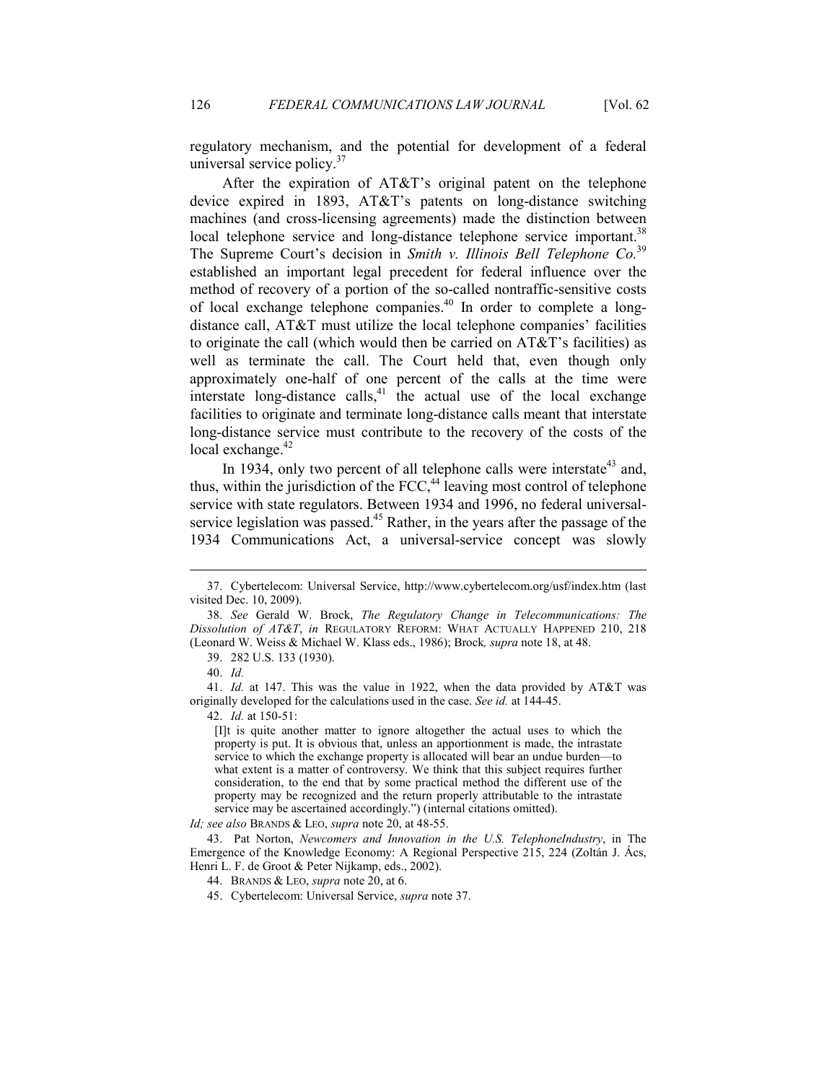regulatory mechanism, and the potential for development of a federal universal service policy.<sup>37</sup>

After the expiration of AT&T's original patent on the telephone device expired in 1893, AT&T's patents on long-distance switching machines (and cross-licensing agreements) made the distinction between local telephone service and long-distance telephone service important.<sup>38</sup> The Supreme Court's decision in *Smith v. Illinois Bell Telephone Co.*<sup>39</sup> established an important legal precedent for federal influence over the method of recovery of a portion of the so-called nontraffic-sensitive costs of local exchange telephone companies.<sup>40</sup> In order to complete a longdistance call, AT&T must utilize the local telephone companies' facilities to originate the call (which would then be carried on AT&T's facilities) as well as terminate the call. The Court held that, even though only approximately one-half of one percent of the calls at the time were interstate long-distance calls, $41$  the actual use of the local exchange facilities to originate and terminate long-distance calls meant that interstate long-distance service must contribute to the recovery of the costs of the local exchange.<sup>42</sup>

In 1934, only two percent of all telephone calls were interstate<sup>43</sup> and, thus, within the jurisdiction of the FCC, $44$  leaving most control of telephone service with state regulators. Between 1934 and 1996, no federal universalservice legislation was passed.<sup>45</sup> Rather, in the years after the passage of the 1934 Communications Act, a universal-service concept was slowly

<u>.</u>

42. *Id.* at 150-51:

[I]t is quite another matter to ignore altogether the actual uses to which the property is put. It is obvious that, unless an apportionment is made, the intrastate service to which the exchange property is allocated will bear an undue burden—to what extent is a matter of controversy. We think that this subject requires further consideration, to the end that by some practical method the different use of the property may be recognized and the return properly attributable to the intrastate service may be ascertained accordingly.") (internal citations omitted).

*Id; see also* BRANDS & LEO, *supra* note 20, at 48-55.

 <sup>37.</sup> Cybertelecom: Universal Service, http://www.cybertelecom.org/usf/index.htm (last visited Dec. 10, 2009).

 <sup>38.</sup> *See* Gerald W. Brock, *The Regulatory Change in Telecommunications: The Dissolution of AT&T*, *in* REGULATORY REFORM: WHAT ACTUALLY HAPPENED 210, 218 (Leonard W. Weiss & Michael W. Klass eds., 1986); Brock*, supra* note 18, at 48.

 <sup>39. 282</sup> U.S. 133 (1930).

 <sup>40.</sup> *Id.*

 <sup>41.</sup> *Id.* at 147. This was the value in 1922, when the data provided by AT&T was originally developed for the calculations used in the case. *See id.* at 144-45.

<sup>43.</sup> Pat Norton, *Newcomers and Innovation in the U.S. TelephoneIndustry*, in The Emergence of the Knowledge Economy: A Regional Perspective 215, 224 (Zoltán J. Ács, Henri L. F. de Groot & Peter Nijkamp, eds., 2002).

 <sup>44.</sup> BRANDS & LEO, *supra* note 20, at 6.

 <sup>45.</sup> Cybertelecom: Universal Service, *supra* note 37.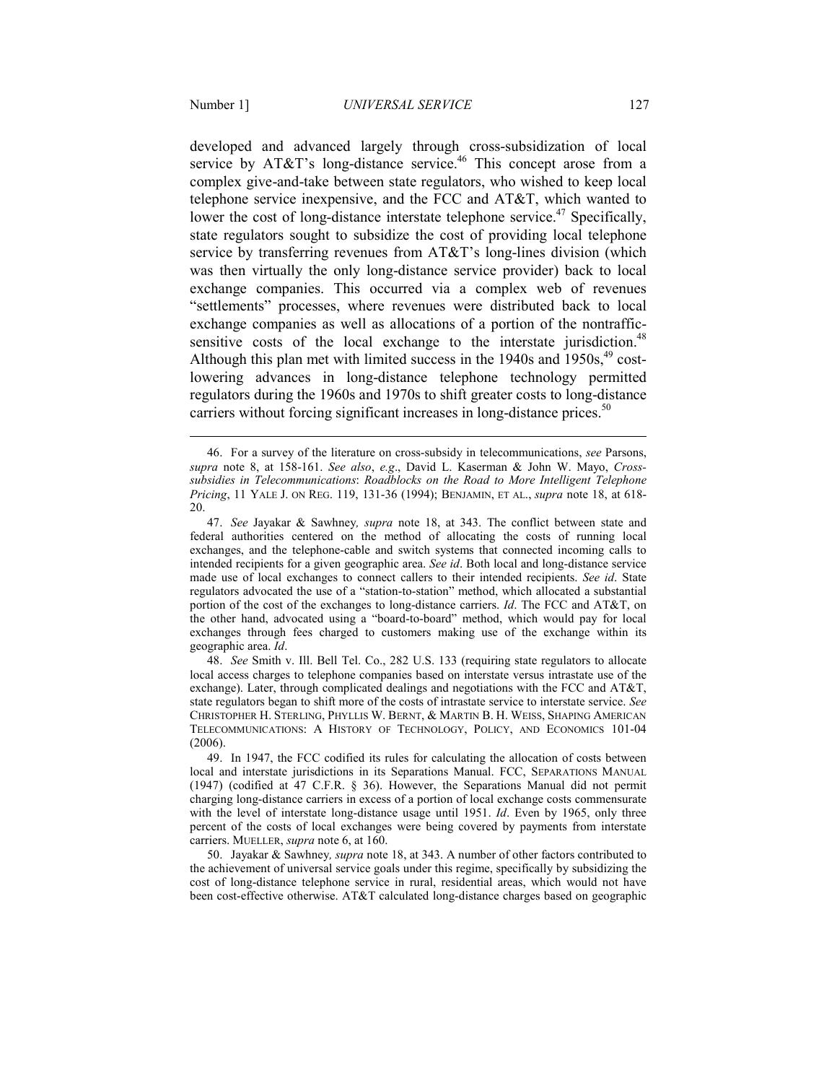<u>.</u>

developed and advanced largely through cross-subsidization of local service by AT&T's long-distance service.<sup>46</sup> This concept arose from a complex give-and-take between state regulators, who wished to keep local telephone service inexpensive, and the FCC and AT&T, which wanted to lower the cost of long-distance interstate telephone service.<sup>47</sup> Specifically, state regulators sought to subsidize the cost of providing local telephone service by transferring revenues from AT&T's long-lines division (which was then virtually the only long-distance service provider) back to local exchange companies. This occurred via a complex web of revenues "settlements" processes, where revenues were distributed back to local exchange companies as well as allocations of a portion of the nontrafficsensitive costs of the local exchange to the interstate jurisdiction.<sup>48</sup> Although this plan met with limited success in the  $1940s$  and  $1950s<sup>49</sup>$  costlowering advances in long-distance telephone technology permitted regulators during the 1960s and 1970s to shift greater costs to long-distance

carriers without forcing significant increases in long-distance prices.<sup>50</sup>

 48. *See* Smith v. Ill. Bell Tel. Co., 282 U.S. 133 (requiring state regulators to allocate local access charges to telephone companies based on interstate versus intrastate use of the exchange). Later, through complicated dealings and negotiations with the FCC and AT&T, state regulators began to shift more of the costs of intrastate service to interstate service. *See* CHRISTOPHER H. STERLING, PHYLLIS W. BERNT, & MARTIN B. H. WEISS, SHAPING AMERICAN TELECOMMUNICATIONS: A HISTORY OF TECHNOLOGY, POLICY, AND ECONOMICS 101-04 (2006).

 <sup>46.</sup> For a survey of the literature on cross-subsidy in telecommunications, *see* Parsons, *supra* note 8, at 158-161. *See also*, *e.g*., David L. Kaserman & John W. Mayo, *Crosssubsidies in Telecommunications*: *Roadblocks on the Road to More Intelligent Telephone Pricing*, 11 YALE J. ON REG. 119, 131-36 (1994); BENJAMIN, ET AL., *supra* note 18, at 618- 20.

 <sup>47.</sup> *See* Jayakar & Sawhney*, supra* note 18, at 343. The conflict between state and federal authorities centered on the method of allocating the costs of running local exchanges, and the telephone-cable and switch systems that connected incoming calls to intended recipients for a given geographic area. *See id*. Both local and long-distance service made use of local exchanges to connect callers to their intended recipients. *See id*. State regulators advocated the use of a "station-to-station" method, which allocated a substantial portion of the cost of the exchanges to long-distance carriers. *Id*. The FCC and AT&T, on the other hand, advocated using a "board-to-board" method, which would pay for local exchanges through fees charged to customers making use of the exchange within its geographic area. *Id*.

 <sup>49.</sup> In 1947, the FCC codified its rules for calculating the allocation of costs between local and interstate jurisdictions in its Separations Manual. FCC, SEPARATIONS MANUAL (1947) (codified at 47 C.F.R. § 36). However, the Separations Manual did not permit charging long-distance carriers in excess of a portion of local exchange costs commensurate with the level of interstate long-distance usage until 1951. *Id*. Even by 1965, only three percent of the costs of local exchanges were being covered by payments from interstate carriers. MUELLER, *supra* note 6, at 160.

 <sup>50.</sup> Jayakar & Sawhney*, supra* note 18, at 343. A number of other factors contributed to the achievement of universal service goals under this regime, specifically by subsidizing the cost of long-distance telephone service in rural, residential areas, which would not have been cost-effective otherwise. AT&T calculated long-distance charges based on geographic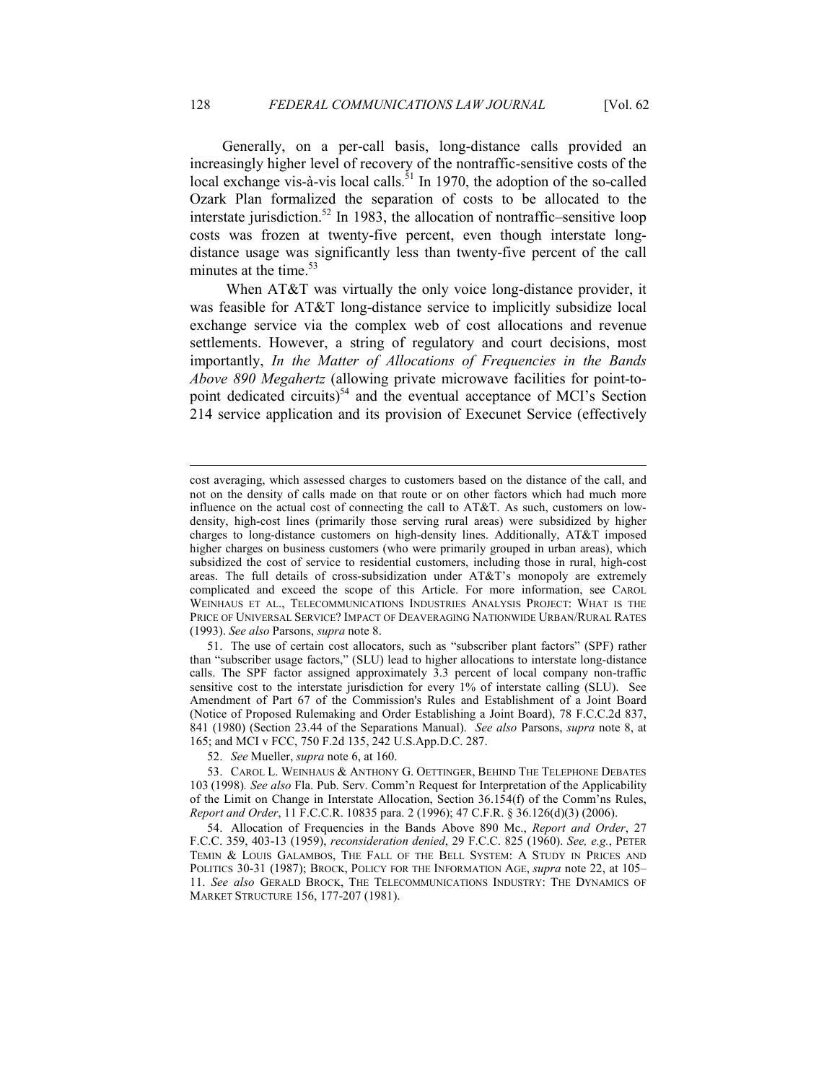Generally, on a per-call basis, long-distance calls provided an increasingly higher level of recovery of the nontraffic-sensitive costs of the local exchange vis-à-vis local calls.<sup>51</sup> In 1970, the adoption of the so-called Ozark Plan formalized the separation of costs to be allocated to the interstate jurisdiction.<sup>52</sup> In 1983, the allocation of nontraffic–sensitive loop costs was frozen at twenty-five percent, even though interstate longdistance usage was significantly less than twenty-five percent of the call minutes at the time.<sup>53</sup>

When AT&T was virtually the only voice long-distance provider, it was feasible for AT&T long-distance service to implicitly subsidize local exchange service via the complex web of cost allocations and revenue settlements. However, a string of regulatory and court decisions, most importantly, *In the Matter of Allocations of Frequencies in the Bands Above 890 Megahertz* (allowing private microwave facilities for point-topoint dedicated circuits) $54$  and the eventual acceptance of MCI's Section 214 service application and its provision of Execunet Service (effectively

52. *See* Mueller, *supra* note 6, at 160.

cost averaging, which assessed charges to customers based on the distance of the call, and not on the density of calls made on that route or on other factors which had much more influence on the actual cost of connecting the call to AT&T. As such, customers on lowdensity, high-cost lines (primarily those serving rural areas) were subsidized by higher charges to long-distance customers on high-density lines. Additionally, AT&T imposed higher charges on business customers (who were primarily grouped in urban areas), which subsidized the cost of service to residential customers, including those in rural, high-cost areas. The full details of cross-subsidization under AT&T's monopoly are extremely complicated and exceed the scope of this Article. For more information, see CAROL WEINHAUS ET AL., TELECOMMUNICATIONS INDUSTRIES ANALYSIS PROJECT: WHAT IS THE PRICE OF UNIVERSAL SERVICE? IMPACT OF DEAVERAGING NATIONWIDE URBAN/RURAL RATES (1993). *See also* Parsons, *supra* note 8.

 <sup>51.</sup> The use of certain cost allocators, such as "subscriber plant factors" (SPF) rather than "subscriber usage factors," (SLU) lead to higher allocations to interstate long-distance calls. The SPF factor assigned approximately 3.3 percent of local company non-traffic sensitive cost to the interstate jurisdiction for every 1% of interstate calling (SLU). See Amendment of Part 67 of the Commission's Rules and Establishment of a Joint Board (Notice of Proposed Rulemaking and Order Establishing a Joint Board), 78 F.C.C.2d 837, 841 (1980) (Section 23.44 of the Separations Manual). *See also* Parsons, *supra* note 8, at 165; and MCI v FCC, 750 F.2d 135, 242 U.S.App.D.C. 287.

 <sup>53.</sup> CAROL L. WEINHAUS & ANTHONY G. OETTINGER, BEHIND THE TELEPHONE DEBATES 103 (1998)*. See also* Fla. Pub. Serv. Comm'n Request for Interpretation of the Applicability of the Limit on Change in Interstate Allocation, Section 36.154(f) of the Comm'ns Rules, *Report and Order*, 11 F.C.C.R. 10835 para. 2 (1996); 47 C.F.R. § 36.126(d)(3) (2006).

 <sup>54.</sup> Allocation of Frequencies in the Bands Above 890 Mc., *Report and Order*, 27 F.C.C. 359, 403-13 (1959), *reconsideration denied*, 29 F.C.C. 825 (1960). *See, e.g.*, PETER TEMIN & LOUIS GALAMBOS, THE FALL OF THE BELL SYSTEM: A STUDY IN PRICES AND POLITICS 30-31 (1987); BROCK, POLICY FOR THE INFORMATION AGE, *supra* note 22, at 105– 11. *See also* GERALD BROCK, THE TELECOMMUNICATIONS INDUSTRY: THE DYNAMICS OF MARKET STRUCTURE 156, 177-207 (1981).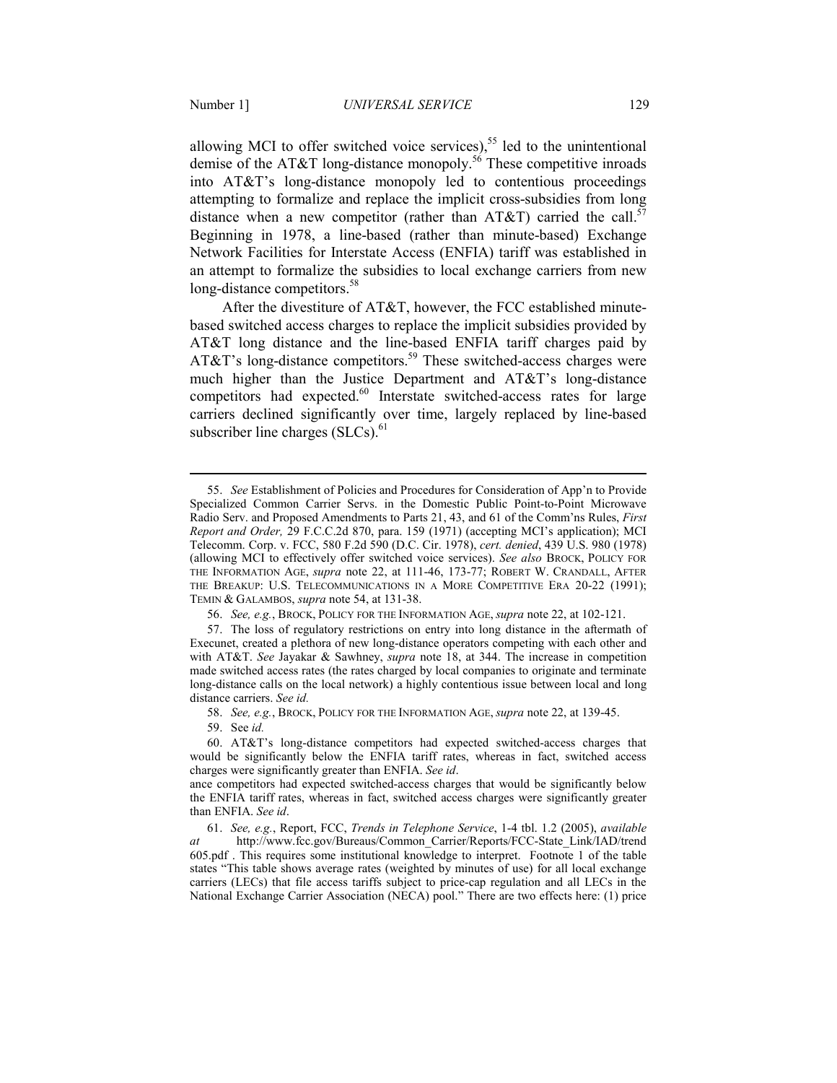allowing MCI to offer switched voice services),<sup>55</sup> led to the unintentional demise of the AT&T long-distance monopoly.<sup>56</sup> These competitive inroads into AT&T's long-distance monopoly led to contentious proceedings attempting to formalize and replace the implicit cross-subsidies from long distance when a new competitor (rather than AT&T) carried the call.<sup>57</sup> Beginning in 1978, a line-based (rather than minute-based) Exchange Network Facilities for Interstate Access (ENFIA) tariff was established in an attempt to formalize the subsidies to local exchange carriers from new long-distance competitors.<sup>58</sup>

After the divestiture of AT&T, however, the FCC established minutebased switched access charges to replace the implicit subsidies provided by AT&T long distance and the line-based ENFIA tariff charges paid by AT&T's long-distance competitors.<sup>59</sup> These switched-access charges were much higher than the Justice Department and AT&T's long-distance competitors had expected.<sup>60</sup> Interstate switched-access rates for large carriers declined significantly over time, largely replaced by line-based subscriber line charges  $(SLCs)$ .<sup>61</sup>

56. *See, e.g.*, BROCK, POLICY FOR THE INFORMATION AGE, *supra* note 22, at 102-121.

 57. The loss of regulatory restrictions on entry into long distance in the aftermath of Execunet, created a plethora of new long-distance operators competing with each other and with AT&T. *See* Jayakar & Sawhney, *supra* note 18, at 344. The increase in competition made switched access rates (the rates charged by local companies to originate and terminate long-distance calls on the local network) a highly contentious issue between local and long distance carriers. *See id.*

58. *See, e.g.*, BROCK, POLICY FOR THE INFORMATION AGE, *supra* note 22, at 139-45.

59. See *id.*

<u>.</u>

 60. AT&T's long-distance competitors had expected switched-access charges that would be significantly below the ENFIA tariff rates, whereas in fact, switched access charges were significantly greater than ENFIA. *See id*.

ance competitors had expected switched-access charges that would be significantly below the ENFIA tariff rates, whereas in fact, switched access charges were significantly greater than ENFIA. *See id*.

 61. *See, e.g.*, Report, FCC, *Trends in Telephone Service*, 1-4 tbl. 1.2 (2005), *available at* http://www.fcc.gov/Bureaus/Common\_Carrier/Reports/FCC-State\_Link/IAD/trend 605.pdf . This requires some institutional knowledge to interpret. Footnote 1 of the table states "This table shows average rates (weighted by minutes of use) for all local exchange carriers (LECs) that file access tariffs subject to price-cap regulation and all LECs in the National Exchange Carrier Association (NECA) pool." There are two effects here: (1) price

 <sup>55.</sup> *See* Establishment of Policies and Procedures for Consideration of App'n to Provide Specialized Common Carrier Servs. in the Domestic Public Point-to-Point Microwave Radio Serv. and Proposed Amendments to Parts 21, 43, and 61 of the Comm'ns Rules, *First Report and Order,* 29 F.C.C.2d 870, para. 159 (1971) (accepting MCI's application); MCI Telecomm. Corp. v. FCC, 580 F.2d 590 (D.C. Cir. 1978), *cert. denied*, 439 U.S. 980 (1978) (allowing MCI to effectively offer switched voice services). *See also* BROCK, POLICY FOR THE INFORMATION AGE, *supra* note 22, at 111-46, 173-77; ROBERT W. CRANDALL, AFTER THE BREAKUP: U.S. TELECOMMUNICATIONS IN A MORE COMPETITIVE ERA 20-22 (1991); TEMIN & GALAMBOS, *supra* note 54, at 131-38.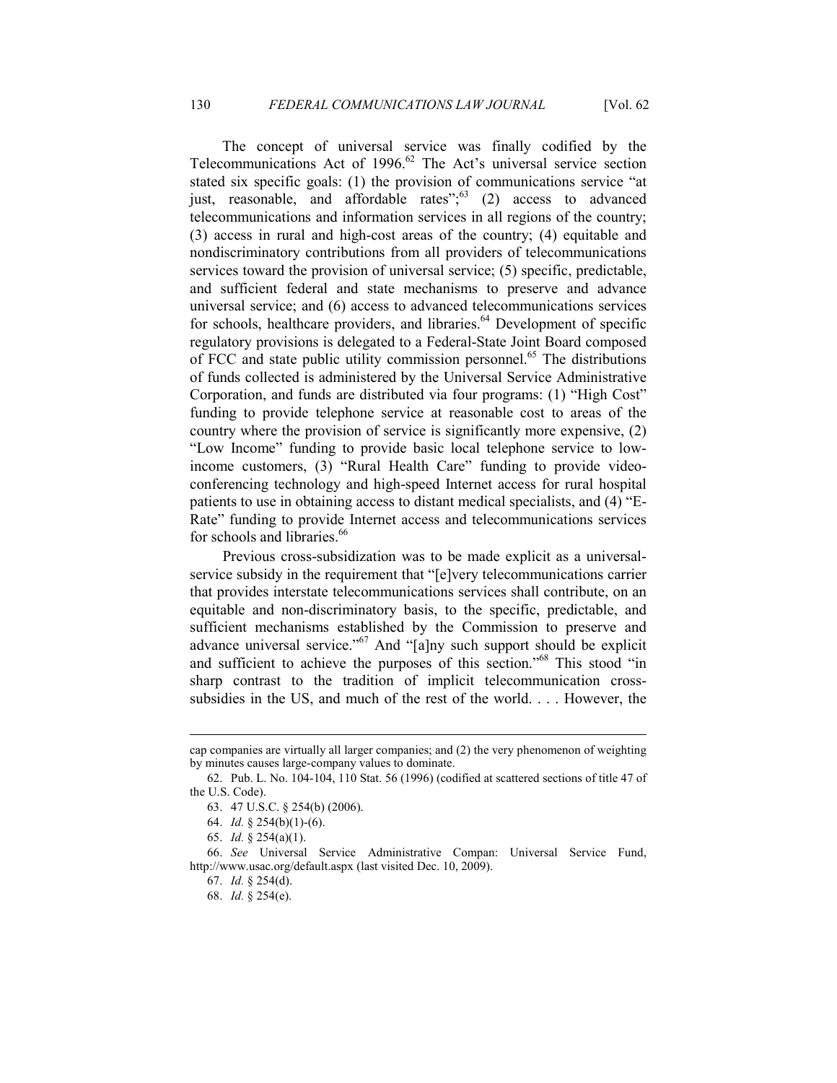The concept of universal service was finally codified by the Telecommunications Act of  $1996$ .<sup>62</sup> The Act's universal service section stated six specific goals: (1) the provision of communications service "at just, reasonable, and affordable rates"; $\frac{3}{2}$  (2) access to advanced telecommunications and information services in all regions of the country; (3) access in rural and high-cost areas of the country; (4) equitable and nondiscriminatory contributions from all providers of telecommunications services toward the provision of universal service; (5) specific, predictable, and sufficient federal and state mechanisms to preserve and advance universal service; and (6) access to advanced telecommunications services for schools, healthcare providers, and libraries.<sup>64</sup> Development of specific regulatory provisions is delegated to a Federal-State Joint Board composed of FCC and state public utility commission personnel.<sup>65</sup> The distributions of funds collected is administered by the Universal Service Administrative Corporation, and funds are distributed via four programs: (1) "High Cost" funding to provide telephone service at reasonable cost to areas of the country where the provision of service is significantly more expensive, (2) "Low Income" funding to provide basic local telephone service to lowincome customers, (3) "Rural Health Care" funding to provide videoconferencing technology and high-speed Internet access for rural hospital patients to use in obtaining access to distant medical specialists, and (4) "E-Rate" funding to provide Internet access and telecommunications services for schools and libraries.<sup>66</sup>

 Previous cross-subsidization was to be made explicit as a universalservice subsidy in the requirement that "[e]very telecommunications carrier that provides interstate telecommunications services shall contribute, on an equitable and non-discriminatory basis, to the specific, predictable, and sufficient mechanisms established by the Commission to preserve and advance universal service."<sup>67</sup> And "[a]ny such support should be explicit and sufficient to achieve the purposes of this section."<sup>68</sup> This stood "in sharp contrast to the tradition of implicit telecommunication crosssubsidies in the US, and much of the rest of the world. . . . However, the

cap companies are virtually all larger companies; and (2) the very phenomenon of weighting by minutes causes large-company values to dominate.

 <sup>62.</sup> Pub. L. No. 104-104, 110 Stat. 56 (1996) (codified at scattered sections of title 47 of the U.S. Code).

 <sup>63. 47</sup> U.S.C. § 254(b) (2006).

 <sup>64.</sup> *Id.* § 254(b)(1)-(6).

 <sup>65.</sup> *Id.* § 254(a)(1).

 <sup>66.</sup> *See* Universal Service Administrative Compan: Universal Service Fund, http://www.usac.org/default.aspx (last visited Dec. 10, 2009).

 <sup>67.</sup> *Id.* § 254(d).

 <sup>68.</sup> *Id.* § 254(e).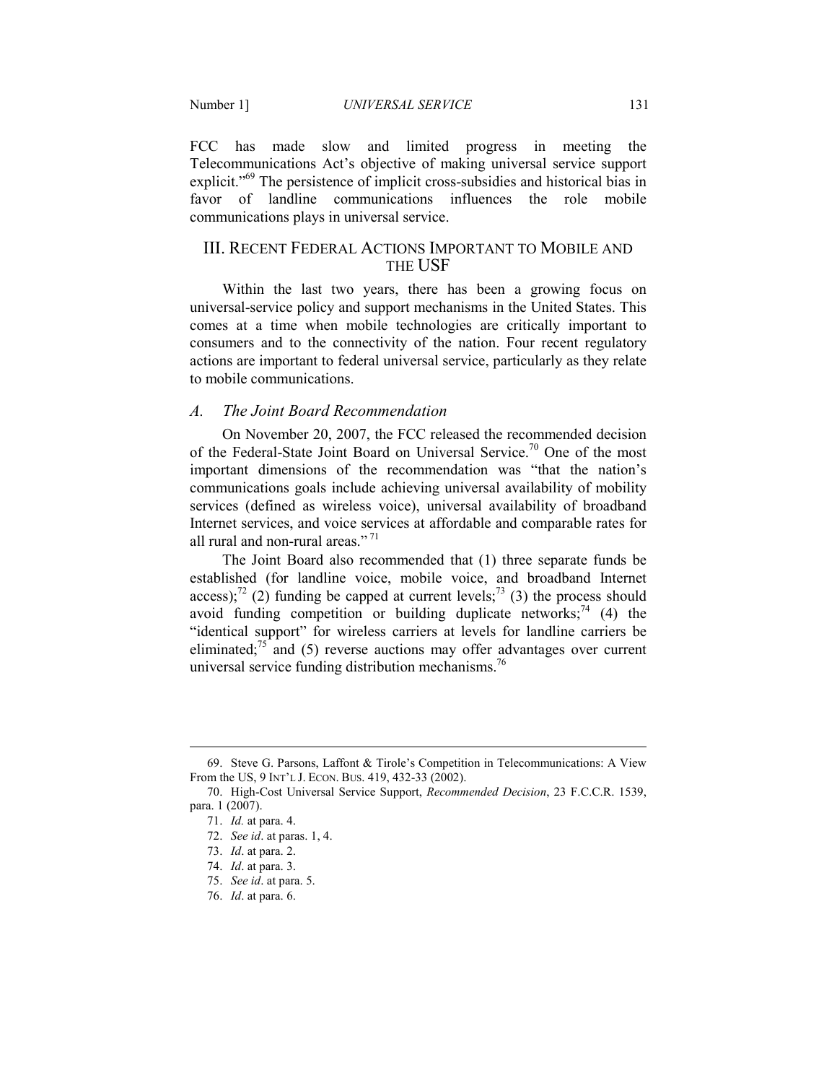FCC has made slow and limited progress in meeting the Telecommunications Act's objective of making universal service support explicit."<sup>69</sup> The persistence of implicit cross-subsidies and historical bias in favor of landline communications influences the role mobile communications plays in universal service.

# III. RECENT FEDERAL ACTIONS IMPORTANT TO MOBILE AND THE USF

Within the last two years, there has been a growing focus on universal-service policy and support mechanisms in the United States. This comes at a time when mobile technologies are critically important to consumers and to the connectivity of the nation. Four recent regulatory actions are important to federal universal service, particularly as they relate to mobile communications.

## *A. The Joint Board Recommendation*

On November 20, 2007, the FCC released the recommended decision of the Federal-State Joint Board on Universal Service.<sup>70</sup> One of the most important dimensions of the recommendation was "that the nation's communications goals include achieving universal availability of mobility services (defined as wireless voice), universal availability of broadband Internet services, and voice services at affordable and comparable rates for all rural and non-rural areas." $71$ 

The Joint Board also recommended that (1) three separate funds be established (for landline voice, mobile voice, and broadband Internet access);<sup>72</sup> (2) funding be capped at current levels;<sup>73</sup> (3) the process should avoid funding competition or building duplicate networks;  $^{74}$  (4) the "identical support" for wireless carriers at levels for landline carriers be eliminated;<sup>75</sup> and (5) reverse auctions may offer advantages over current universal service funding distribution mechanisms.<sup>76</sup>

 <sup>69.</sup> Steve G. Parsons, Laffont & Tirole's Competition in Telecommunications: A View From the US, 9 INT'L J. ECON. BUS. 419, 432-33 (2002).

 <sup>70.</sup> High-Cost Universal Service Support, *Recommended Decision*, 23 F.C.C.R. 1539, para. 1 (2007).

 <sup>71.</sup> *Id.* at para. 4.

 <sup>72.</sup> *See id*. at paras. 1, 4.

 <sup>73.</sup> *Id*. at para. 2.

 <sup>74.</sup> *Id*. at para. 3.

 <sup>75.</sup> *See id*. at para. 5.

 <sup>76.</sup> *Id*. at para. 6.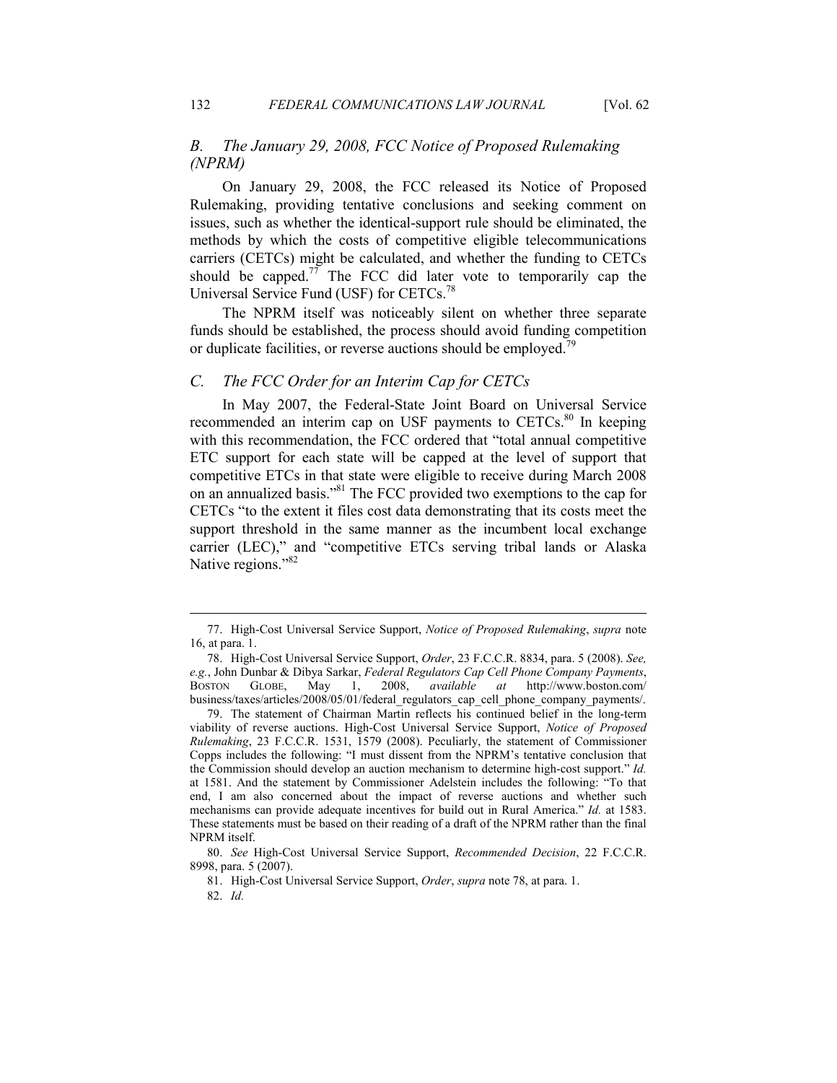# *B. The January 29, 2008, FCC Notice of Proposed Rulemaking (NPRM)*

On January 29, 2008, the FCC released its Notice of Proposed Rulemaking, providing tentative conclusions and seeking comment on issues, such as whether the identical-support rule should be eliminated, the methods by which the costs of competitive eligible telecommunications carriers (CETCs) might be calculated, and whether the funding to CETCs should be capped.<sup>77</sup> The FCC did later vote to temporarily cap the Universal Service Fund (USF) for CETCs.<sup>78</sup>

The NPRM itself was noticeably silent on whether three separate funds should be established, the process should avoid funding competition or duplicate facilities, or reverse auctions should be employed.<sup>79</sup>

#### *C. The FCC Order for an Interim Cap for CETCs*

In May 2007, the Federal-State Joint Board on Universal Service recommended an interim cap on USF payments to CETCs.<sup>80</sup> In keeping with this recommendation, the FCC ordered that "total annual competitive ETC support for each state will be capped at the level of support that competitive ETCs in that state were eligible to receive during March 2008 on an annualized basis."<sup>81</sup> The FCC provided two exemptions to the cap for CETCs "to the extent it files cost data demonstrating that its costs meet the support threshold in the same manner as the incumbent local exchange carrier (LEC)," and "competitive ETCs serving tribal lands or Alaska Native regions."<sup>82</sup>

<sup>77.</sup> High-Cost Universal Service Support, *Notice of Proposed Rulemaking*, *supra* note 16, at para. 1.

 <sup>78.</sup> High-Cost Universal Service Support, *Order*, 23 F.C.C.R. 8834, para. 5 (2008). *See, e.g.*, John Dunbar & Dibya Sarkar, *Federal Regulators Cap Cell Phone Company Payments*, BOSTON GLOBE, May 1, 2008, *available at* http://www.boston.com/ business/taxes/articles/2008/05/01/federal\_regulators\_cap\_cell\_phone\_company\_payments/.

 <sup>79.</sup> The statement of Chairman Martin reflects his continued belief in the long-term viability of reverse auctions. High-Cost Universal Service Support, *Notice of Proposed Rulemaking*, 23 F.C.C.R. 1531, 1579 (2008). Peculiarly, the statement of Commissioner Copps includes the following: "I must dissent from the NPRM's tentative conclusion that the Commission should develop an auction mechanism to determine high-cost support." *Id.* at 1581. And the statement by Commissioner Adelstein includes the following: "To that end, I am also concerned about the impact of reverse auctions and whether such mechanisms can provide adequate incentives for build out in Rural America." *Id.* at 1583. These statements must be based on their reading of a draft of the NPRM rather than the final NPRM itself.

 <sup>80.</sup> *See* High-Cost Universal Service Support, *Recommended Decision*, 22 F.C.C.R. 8998, para. 5 (2007).

 <sup>81.</sup> High-Cost Universal Service Support, *Order*, *supra* note 78, at para. 1.

<sup>82.</sup> *Id.*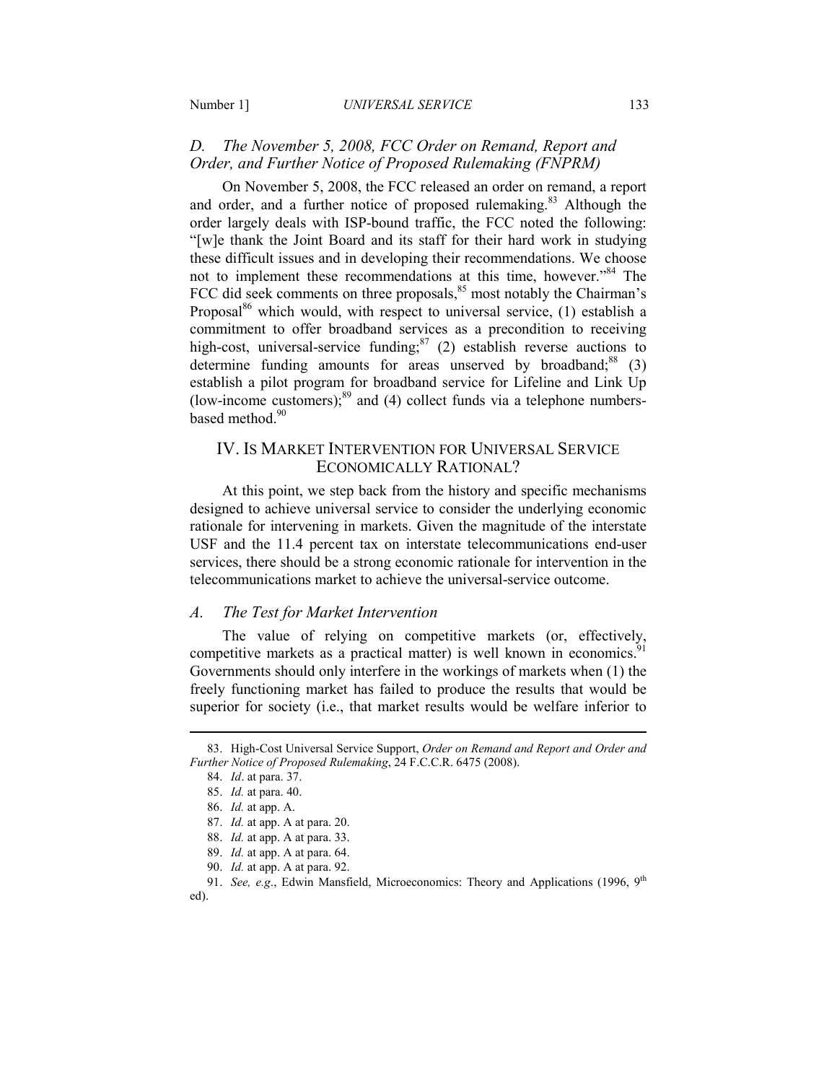# D. The November 5, 2008, FCC Order on Remand, Report and *Order, and Further Notice of Proposed Rulemaking (FNPRM)*

On November 5, 2008, the FCC released an order on remand, a report and order, and a further notice of proposed rulemaking.<sup>83</sup> Although the order largely deals with ISP-bound traffic, the FCC noted the following: "[w]e thank the Joint Board and its staff for their hard work in studying these difficult issues and in developing their recommendations. We choose not to implement these recommendations at this time, however."<sup>84</sup> The FCC did seek comments on three proposals, $85$  most notably the Chairman's Proposal $86$  which would, with respect to universal service, (1) establish a commitment to offer broadband services as a precondition to receiving high-cost, universal-service funding;<sup>87</sup> (2) establish reverse auctions to determine funding amounts for areas unserved by broadband; $88$  (3) establish a pilot program for broadband service for Lifeline and Link Up (low-income customers); $89$  and (4) collect funds via a telephone numbersbased method.<sup>90</sup>

# IV. IS MARKET INTERVENTION FOR UNIVERSAL SERVICE ECONOMICALLY RATIONAL?

At this point, we step back from the history and specific mechanisms designed to achieve universal service to consider the underlying economic rationale for intervening in markets. Given the magnitude of the interstate USF and the 11.4 percent tax on interstate telecommunications end-user services, there should be a strong economic rationale for intervention in the telecommunications market to achieve the universal-service outcome.

## *A. The Test for Market Intervention*

The value of relying on competitive markets (or, effectively, competitive markets as a practical matter) is well known in economics.<sup>9</sup> Governments should only interfere in the workings of markets when (1) the freely functioning market has failed to produce the results that would be superior for society (i.e., that market results would be welfare inferior to

 <sup>83.</sup> High-Cost Universal Service Support, *Order on Remand and Report and Order and Further Notice of Proposed Rulemaking*, 24 F.C.C.R. 6475 (2008).

 <sup>84.</sup> *Id*. at para. 37.

 <sup>85.</sup> *Id.* at para. 40.

 <sup>86.</sup> *Id.* at app. A.

 <sup>87.</sup> *Id.* at app. A at para. 20.

 <sup>88.</sup> *Id.* at app. A at para. 33.

 <sup>89.</sup> *Id.* at app. A at para. 64.

 <sup>90.</sup> *Id.* at app. A at para. 92.

 <sup>91.</sup> *See, e.g*., Edwin Mansfield, Microeconomics: Theory and Applications (1996, 9th ed).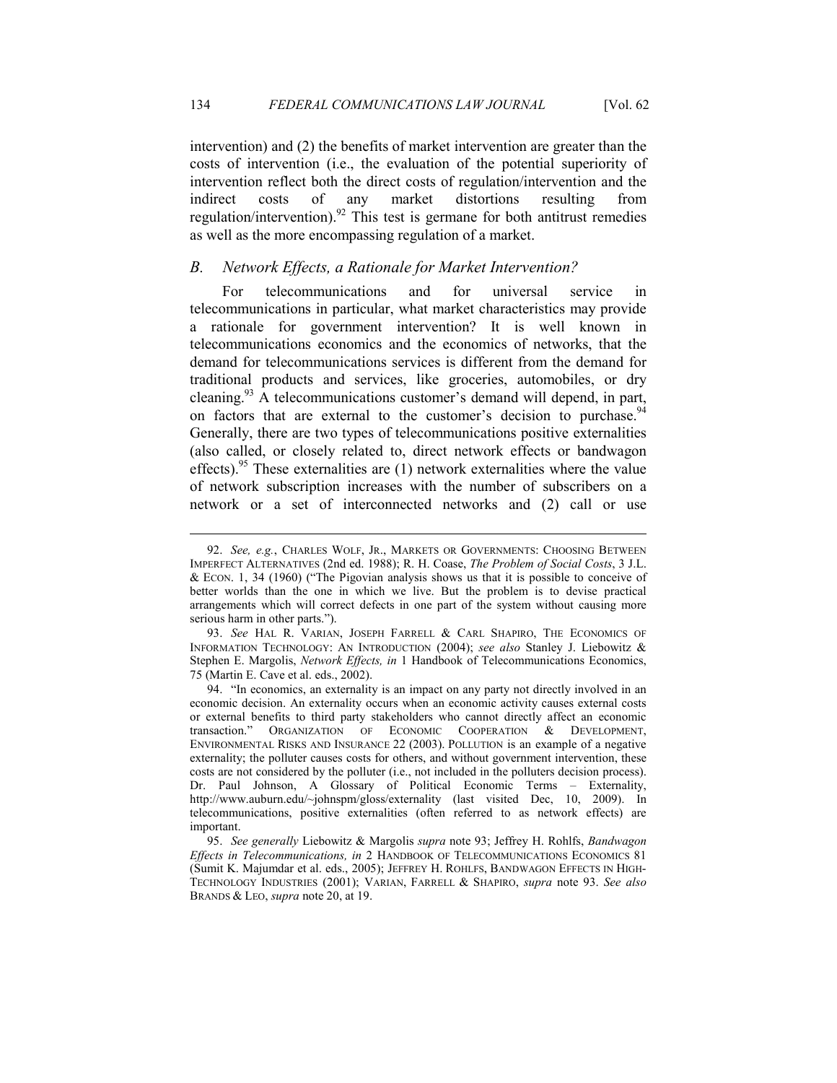intervention) and (2) the benefits of market intervention are greater than the costs of intervention (i.e., the evaluation of the potential superiority of intervention reflect both the direct costs of regulation/intervention and the indirect costs of any market distortions resulting from regulation/intervention).<sup>92</sup> This test is germane for both antitrust remedies as well as the more encompassing regulation of a market.

#### *B. Network Effects, a Rationale for Market Intervention?*

For telecommunications and for universal service in telecommunications in particular, what market characteristics may provide a rationale for government intervention? It is well known in telecommunications economics and the economics of networks, that the demand for telecommunications services is different from the demand for traditional products and services, like groceries, automobiles, or dry cleaning.<sup>93</sup> A telecommunications customer's demand will depend, in part, on factors that are external to the customer's decision to purchase.<sup>94</sup> Generally, there are two types of telecommunications positive externalities (also called, or closely related to, direct network effects or bandwagon effects).<sup>95</sup> These externalities are  $(1)$  network externalities where the value of network subscription increases with the number of subscribers on a network or a set of interconnected networks and (2) call or use

-

 93. *See* HAL R. VARIAN, JOSEPH FARRELL & CARL SHAPIRO, THE ECONOMICS OF INFORMATION TECHNOLOGY: AN INTRODUCTION (2004); *see also* Stanley J. Liebowitz & Stephen E. Margolis, *Network Effects, in* 1 Handbook of Telecommunications Economics, 75 (Martin E. Cave et al. eds., 2002).

 <sup>92.</sup> *See, e.g.*, CHARLES WOLF, JR., MARKETS OR GOVERNMENTS: CHOOSING BETWEEN IMPERFECT ALTERNATIVES (2nd ed. 1988); R. H. Coase, *The Problem of Social Costs*, 3 J.L. & ECON. 1, 34 (1960) ("The Pigovian analysis shows us that it is possible to conceive of better worlds than the one in which we live. But the problem is to devise practical arrangements which will correct defects in one part of the system without causing more serious harm in other parts.").

 <sup>94. &</sup>quot;In economics, an externality is an impact on any party not directly involved in an economic decision. An externality occurs when an economic activity causes external costs or external benefits to third party stakeholders who cannot directly affect an economic transaction." ORGANIZATION OF ECONOMIC COOPERATION & DEVELOPMENT, ENVIRONMENTAL RISKS AND INSURANCE 22 (2003). POLLUTION is an example of a negative externality; the polluter causes costs for others, and without government intervention, these costs are not considered by the polluter (i.e., not included in the polluters decision process). Dr. Paul Johnson, A Glossary of Political Economic Terms - Externality, http://www.auburn.edu/~johnspm/gloss/externality (last visited Dec, 10, 2009). In telecommunications, positive externalities (often referred to as network effects) are important.

<sup>95.</sup> *See generally* Liebowitz & Margolis *supra* note 93; Jeffrey H. Rohlfs, *Bandwagon Effects in Telecommunications, in* 2 HANDBOOK OF TELECOMMUNICATIONS ECONOMICS 81 (Sumit K. Majumdar et al. eds., 2005); JEFFREY H. ROHLFS, BANDWAGON EFFECTS IN HIGH-TECHNOLOGY INDUSTRIES (2001); VARIAN, FARRELL & SHAPIRO, *supra* note 93. *See also* BRANDS & LEO, *supra* note 20, at 19.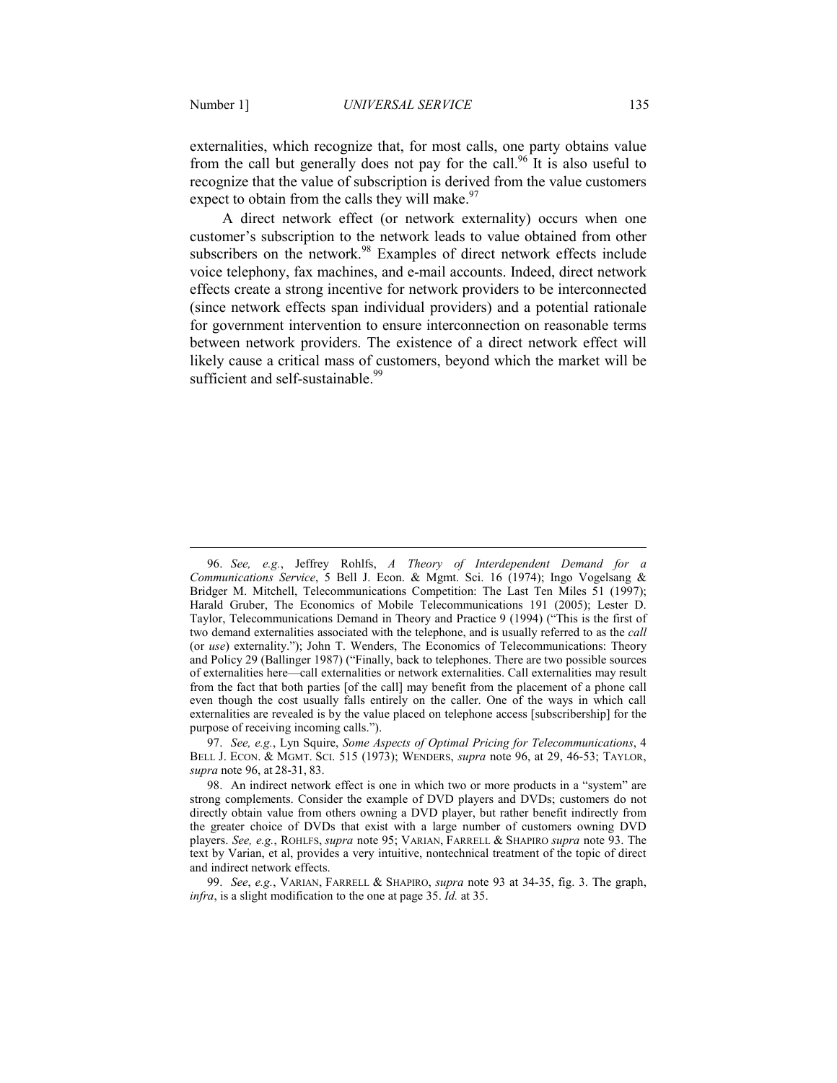<u>.</u>

externalities, which recognize that, for most calls, one party obtains value from the call but generally does not pay for the call.<sup>96</sup> It is also useful to recognize that the value of subscription is derived from the value customers expect to obtain from the calls they will make. $97$ 

A direct network effect (or network externality) occurs when one customer's subscription to the network leads to value obtained from other subscribers on the network.<sup>98</sup> Examples of direct network effects include voice telephony, fax machines, and e-mail accounts. Indeed, direct network effects create a strong incentive for network providers to be interconnected (since network effects span individual providers) and a potential rationale for government intervention to ensure interconnection on reasonable terms between network providers. The existence of a direct network effect will likely cause a critical mass of customers, beyond which the market will be sufficient and self-sustainable.<sup>99</sup>

 <sup>96.</sup> *See, e.g.*, Jeffrey Rohlfs, *A Theory of Interdependent Demand for a Communications Service*, 5 Bell J. Econ. & Mgmt. Sci. 16 (1974); Ingo Vogelsang & Bridger M. Mitchell, Telecommunications Competition: The Last Ten Miles 51 (1997); Harald Gruber, The Economics of Mobile Telecommunications 191 (2005); Lester D. Taylor, Telecommunications Demand in Theory and Practice 9 (1994) ("This is the first of two demand externalities associated with the telephone, and is usually referred to as the *call* (or *use*) externality."); John T. Wenders, The Economics of Telecommunications: Theory and Policy 29 (Ballinger 1987) ("Finally, back to telephones. There are two possible sources of externalities here—call externalities or network externalities. Call externalities may result from the fact that both parties [of the call] may benefit from the placement of a phone call even though the cost usually falls entirely on the caller. One of the ways in which call externalities are revealed is by the value placed on telephone access [subscribership] for the purpose of receiving incoming calls.").

 <sup>97.</sup> *See, e.g.*, Lyn Squire, *Some Aspects of Optimal Pricing for Telecommunications*, 4 BELL J. ECON. & MGMT. SCI. 515 (1973); WENDERS, *supra* note 96, at 29, 46-53; TAYLOR, *supra* note 96, at 28-31, 83.

 <sup>98.</sup> An indirect network effect is one in which two or more products in a "system" are strong complements. Consider the example of DVD players and DVDs; customers do not directly obtain value from others owning a DVD player, but rather benefit indirectly from the greater choice of DVDs that exist with a large number of customers owning DVD players. *See, e.g.*, ROHLFS, *supra* note 95; VARIAN, FARRELL & SHAPIRO *supra* note 93. The text by Varian, et al, provides a very intuitive, nontechnical treatment of the topic of direct and indirect network effects.

 <sup>99.</sup> *See*, *e.g.*, VARIAN, FARRELL & SHAPIRO, *supra* note 93 at 34-35, fig. 3. The graph, *infra*, is a slight modification to the one at page 35. *Id.* at 35.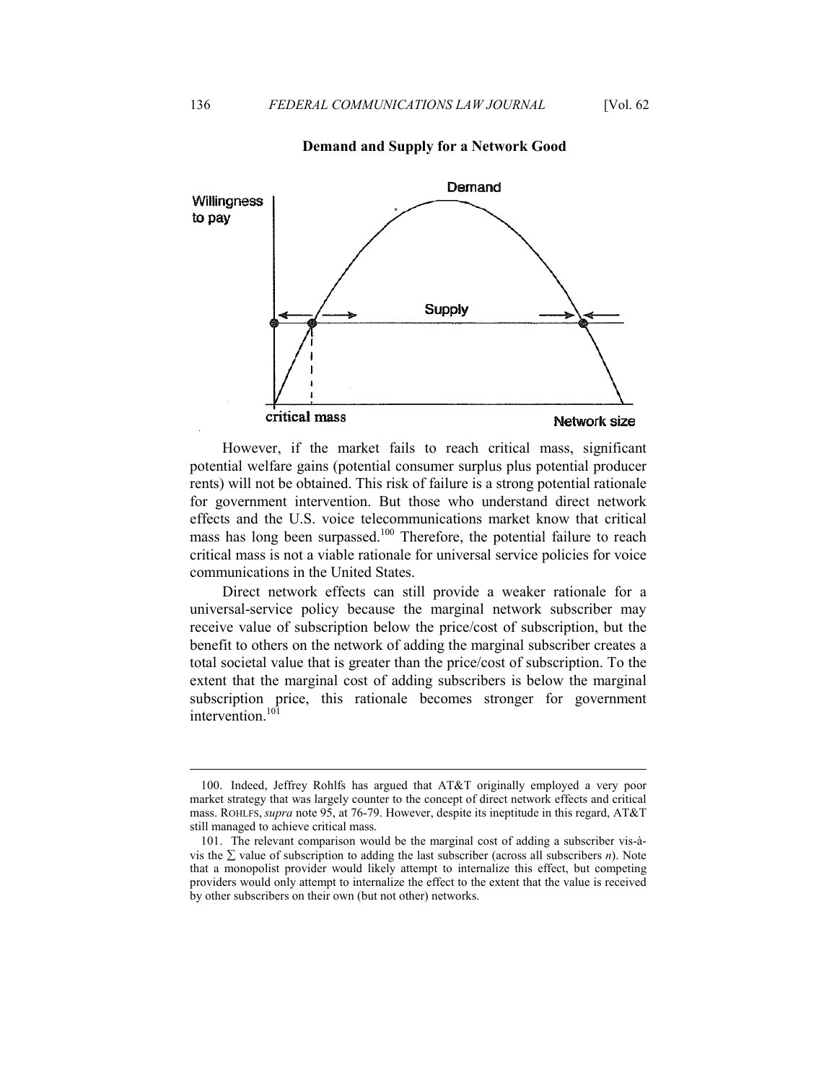#### **Demand and Supply for a Network Good**



However, if the market fails to reach critical mass, significant potential welfare gains (potential consumer surplus plus potential producer rents) will not be obtained. This risk of failure is a strong potential rationale for government intervention. But those who understand direct network effects and the U.S. voice telecommunications market know that critical mass has long been surpassed.<sup>100</sup> Therefore, the potential failure to reach critical mass is not a viable rationale for universal service policies for voice communications in the United States.

Direct network effects can still provide a weaker rationale for a universal-service policy because the marginal network subscriber may receive value of subscription below the price/cost of subscription, but the benefit to others on the network of adding the marginal subscriber creates a total societal value that is greater than the price/cost of subscription. To the extent that the marginal cost of adding subscribers is below the marginal subscription price, this rationale becomes stronger for government intervention.<sup>101</sup>

 <sup>100.</sup> Indeed, Jeffrey Rohlfs has argued that AT&T originally employed a very poor market strategy that was largely counter to the concept of direct network effects and critical mass. ROHLFS, *supra* note 95, at 76-79. However, despite its ineptitude in this regard, AT&T still managed to achieve critical mass.

 <sup>101.</sup> The relevant comparison would be the marginal cost of adding a subscriber vis-àvis the ∑ value of subscription to adding the last subscriber (across all subscribers *n*). Note that a monopolist provider would likely attempt to internalize this effect, but competing providers would only attempt to internalize the effect to the extent that the value is received by other subscribers on their own (but not other) networks.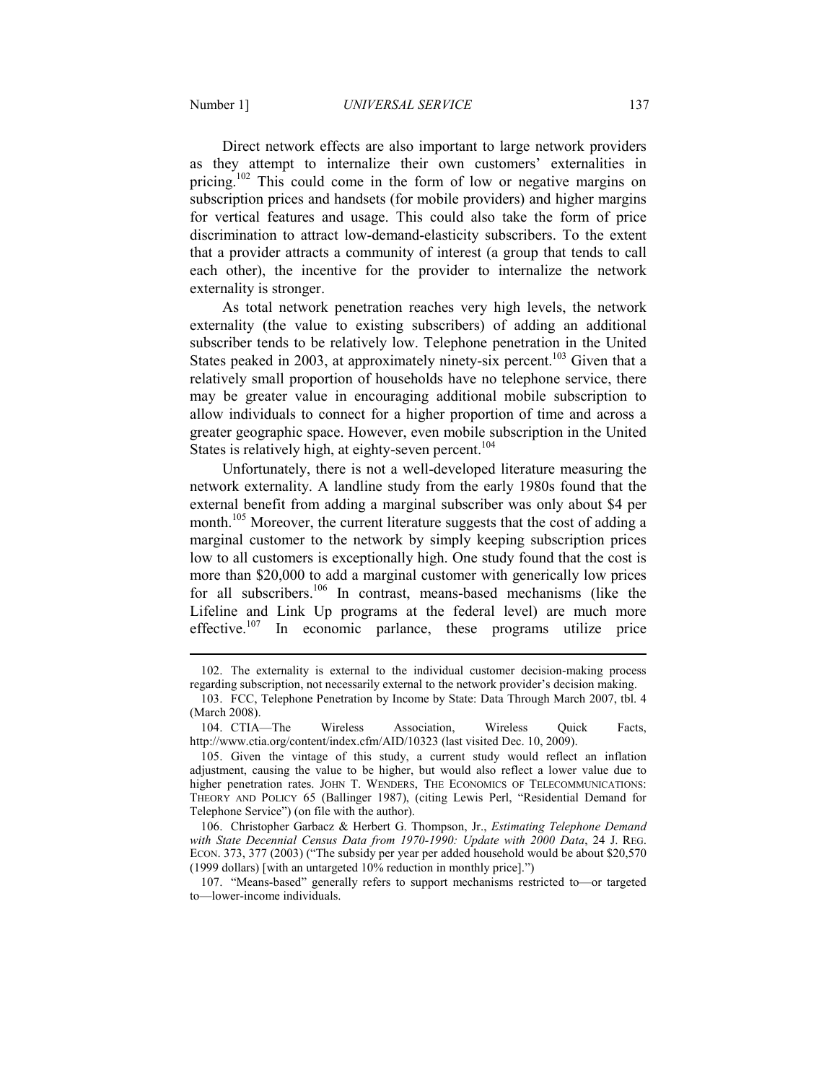<u>.</u>

Direct network effects are also important to large network providers as they attempt to internalize their own customers' externalities in pricing.<sup>102</sup> This could come in the form of low or negative margins on subscription prices and handsets (for mobile providers) and higher margins for vertical features and usage. This could also take the form of price discrimination to attract low-demand-elasticity subscribers. To the extent that a provider attracts a community of interest (a group that tends to call each other), the incentive for the provider to internalize the network externality is stronger.

As total network penetration reaches very high levels, the network externality (the value to existing subscribers) of adding an additional subscriber tends to be relatively low. Telephone penetration in the United States peaked in 2003, at approximately ninety-six percent.<sup>103</sup> Given that a relatively small proportion of households have no telephone service, there may be greater value in encouraging additional mobile subscription to allow individuals to connect for a higher proportion of time and across a greater geographic space. However, even mobile subscription in the United States is relatively high, at eighty-seven percent.<sup>104</sup>

Unfortunately, there is not a well-developed literature measuring the network externality. A landline study from the early 1980s found that the external benefit from adding a marginal subscriber was only about \$4 per month.<sup>105</sup> Moreover, the current literature suggests that the cost of adding a marginal customer to the network by simply keeping subscription prices low to all customers is exceptionally high. One study found that the cost is more than \$20,000 to add a marginal customer with generically low prices for all subscribers.<sup>106</sup> In contrast, means-based mechanisms (like the Lifeline and Link Up programs at the federal level) are much more effective.<sup>107</sup> In economic parlance, these programs utilize price

 <sup>102.</sup> The externality is external to the individual customer decision-making process regarding subscription, not necessarily external to the network provider's decision making.

 <sup>103.</sup> FCC, Telephone Penetration by Income by State: Data Through March 2007, tbl. 4 (March 2008).

 <sup>104.</sup> CTIA—The Wireless Association, Wireless Quick Facts, http://www.ctia.org/content/index.cfm/AID/10323 (last visited Dec. 10, 2009).

 <sup>105.</sup> Given the vintage of this study, a current study would reflect an inflation adjustment, causing the value to be higher, but would also reflect a lower value due to higher penetration rates. JOHN T. WENDERS, THE ECONOMICS OF TELECOMMUNICATIONS: THEORY AND POLICY 65 (Ballinger 1987), (citing Lewis Perl, "Residential Demand for Telephone Service") (on file with the author).

 <sup>106.</sup> Christopher Garbacz & Herbert G. Thompson, Jr., *Estimating Telephone Demand with State Decennial Census Data from 1970-1990: Update with 2000 Data*, 24 J. REG. ECON. 373, 377 (2003) ("The subsidy per year per added household would be about \$20,570 (1999 dollars) [with an untargeted 10% reduction in monthly price].")

 <sup>107. &</sup>quot;Means-based" generally refers to support mechanisms restricted to—or targeted to—lower-income individuals.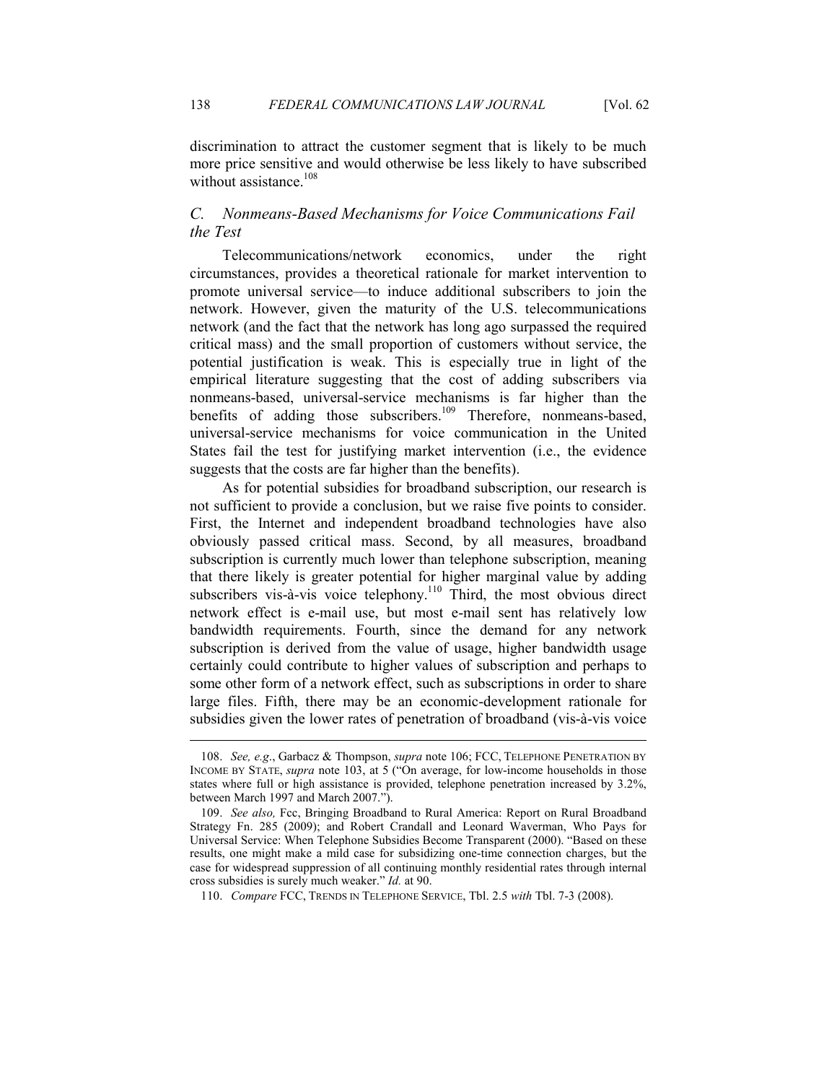discrimination to attract the customer segment that is likely to be much more price sensitive and would otherwise be less likely to have subscribed without assistance.<sup>108</sup>

# *C. Nonmeans-Based Mechanisms for Voice Communications Fail the Test*

Telecommunications/network economics, under the right circumstances, provides a theoretical rationale for market intervention to promote universal service—to induce additional subscribers to join the network. However, given the maturity of the U.S. telecommunications network (and the fact that the network has long ago surpassed the required critical mass) and the small proportion of customers without service, the potential justification is weak. This is especially true in light of the empirical literature suggesting that the cost of adding subscribers via nonmeans-based, universal-service mechanisms is far higher than the benefits of adding those subscribers.<sup>109</sup> Therefore, nonmeans-based, universal-service mechanisms for voice communication in the United States fail the test for justifying market intervention (i.e., the evidence suggests that the costs are far higher than the benefits).

As for potential subsidies for broadband subscription, our research is not sufficient to provide a conclusion, but we raise five points to consider. First, the Internet and independent broadband technologies have also obviously passed critical mass. Second, by all measures, broadband subscription is currently much lower than telephone subscription, meaning that there likely is greater potential for higher marginal value by adding subscribers vis-à-vis voice telephony.<sup>110</sup> Third, the most obvious direct network effect is e-mail use, but most e-mail sent has relatively low bandwidth requirements. Fourth, since the demand for any network subscription is derived from the value of usage, higher bandwidth usage certainly could contribute to higher values of subscription and perhaps to some other form of a network effect, such as subscriptions in order to share large files. Fifth, there may be an economic-development rationale for subsidies given the lower rates of penetration of broadband (vis-à-vis voice

 <sup>108.</sup> *See, e.g*., Garbacz & Thompson, *supra* note 106; FCC, TELEPHONE PENETRATION BY INCOME BY STATE, *supra* note 103, at 5 ("On average, for low-income households in those states where full or high assistance is provided, telephone penetration increased by 3.2%, between March 1997 and March 2007.").

 <sup>109.</sup> *See also,* Fcc, Bringing Broadband to Rural America: Report on Rural Broadband Strategy Fn. 285 (2009); and Robert Crandall and Leonard Waverman, Who Pays for Universal Service: When Telephone Subsidies Become Transparent (2000). "Based on these results, one might make a mild case for subsidizing one-time connection charges, but the case for widespread suppression of all continuing monthly residential rates through internal cross subsidies is surely much weaker." *Id.* at 90.

 <sup>110.</sup> *Compare* FCC, TRENDS IN TELEPHONE SERVICE, Tbl. 2.5 *with* Tbl. 7-3 (2008).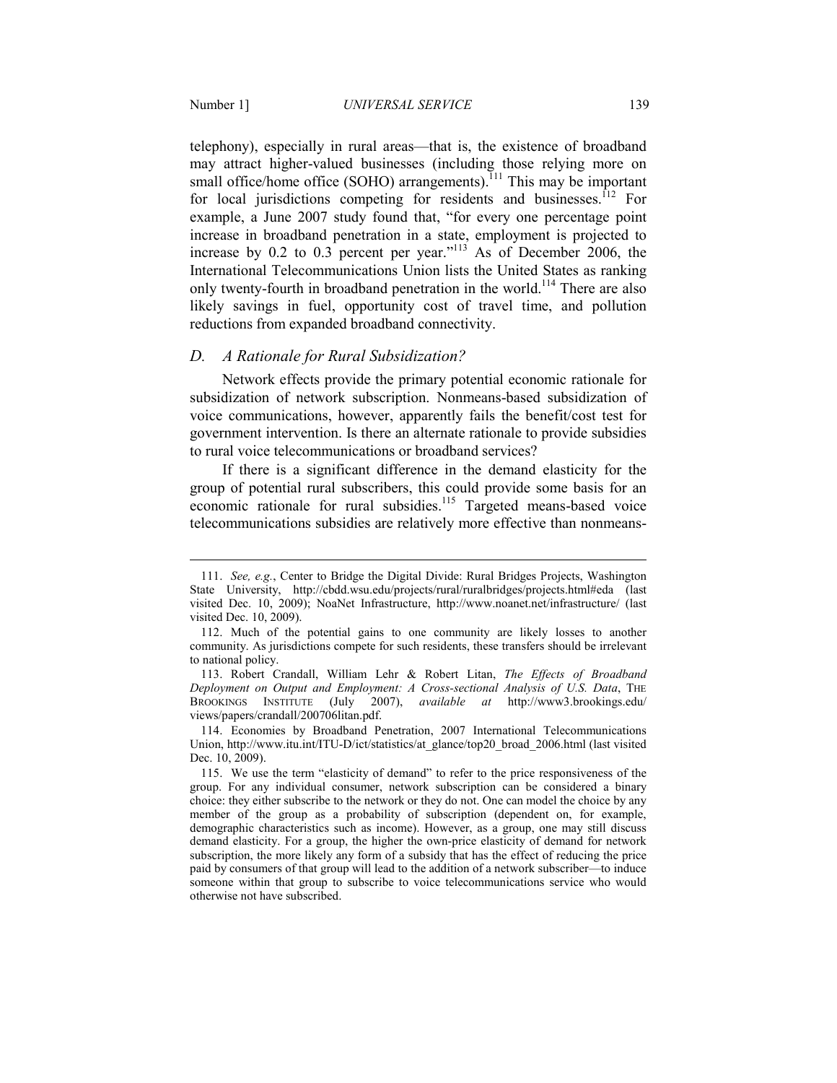<u>.</u>

telephony), especially in rural areas—that is, the existence of broadband may attract higher-valued businesses (including those relying more on small office/home office (SOHO) arrangements).<sup>111</sup> This may be important for local jurisdictions competing for residents and businesses.<sup>112</sup> For example, a June 2007 study found that, "for every one percentage point increase in broadband penetration in a state, employment is projected to increase by  $0.2$  to  $0.3$  percent per year."<sup>113</sup> As of December 2006, the International Telecommunications Union lists the United States as ranking only twenty-fourth in broadband penetration in the world.<sup>114</sup> There are also likely savings in fuel, opportunity cost of travel time, and pollution reductions from expanded broadband connectivity.

## *D. A Rationale for Rural Subsidization?*

Network effects provide the primary potential economic rationale for subsidization of network subscription. Nonmeans-based subsidization of voice communications, however, apparently fails the benefit/cost test for government intervention. Is there an alternate rationale to provide subsidies to rural voice telecommunications or broadband services?

If there is a significant difference in the demand elasticity for the group of potential rural subscribers, this could provide some basis for an economic rationale for rural subsidies.<sup>115</sup> Targeted means-based voice telecommunications subsidies are relatively more effective than nonmeans-

 <sup>111.</sup> *See, e.g.*, Center to Bridge the Digital Divide: Rural Bridges Projects, Washington State University, http://cbdd.wsu.edu/projects/rural/ruralbridges/projects.html#eda (last visited Dec. 10, 2009); NoaNet Infrastructure, http://www.noanet.net/infrastructure/ (last visited Dec. 10, 2009).

 <sup>112.</sup> Much of the potential gains to one community are likely losses to another community. As jurisdictions compete for such residents, these transfers should be irrelevant to national policy.

 <sup>113.</sup> Robert Crandall, William Lehr & Robert Litan, *The Effects of Broadband Deployment on Output and Employment: A Cross-sectional Analysis of U.S. Data*, THE BROOKINGS INSTITUTE (July 2007), *available at* http://www3.brookings.edu/ views/papers/crandall/200706litan.pdf.

 <sup>114.</sup> Economies by Broadband Penetration, 2007 International Telecommunications Union, http://www.itu.int/ITU-D/ict/statistics/at\_glance/top20\_broad\_2006.html (last visited Dec. 10, 2009).

 <sup>115.</sup> We use the term "elasticity of demand" to refer to the price responsiveness of the group. For any individual consumer, network subscription can be considered a binary choice: they either subscribe to the network or they do not. One can model the choice by any member of the group as a probability of subscription (dependent on, for example, demographic characteristics such as income). However, as a group, one may still discuss demand elasticity. For a group, the higher the own-price elasticity of demand for network subscription, the more likely any form of a subsidy that has the effect of reducing the price paid by consumers of that group will lead to the addition of a network subscriber—to induce someone within that group to subscribe to voice telecommunications service who would otherwise not have subscribed.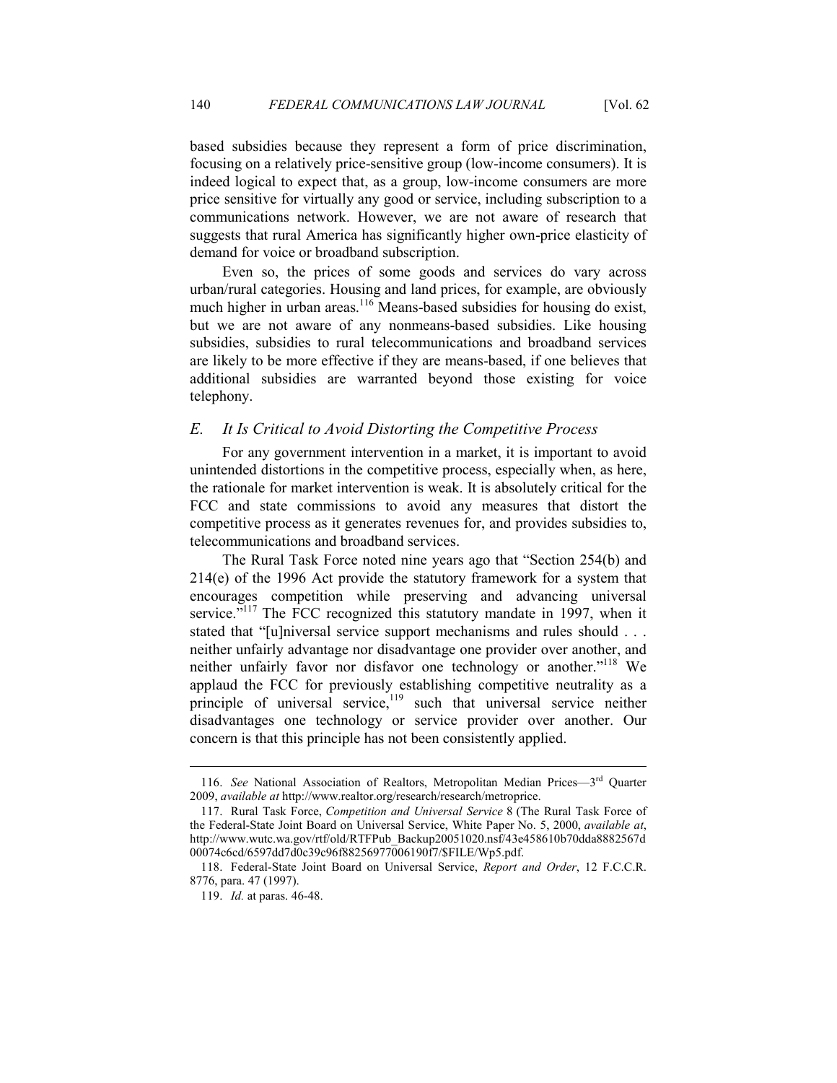based subsidies because they represent a form of price discrimination, focusing on a relatively price-sensitive group (low-income consumers). It is indeed logical to expect that, as a group, low-income consumers are more price sensitive for virtually any good or service, including subscription to a communications network. However, we are not aware of research that suggests that rural America has significantly higher own-price elasticity of demand for voice or broadband subscription.

Even so, the prices of some goods and services do vary across urban/rural categories. Housing and land prices, for example, are obviously much higher in urban areas.<sup>116</sup> Means-based subsidies for housing do exist, but we are not aware of any nonmeans-based subsidies. Like housing subsidies, subsidies to rural telecommunications and broadband services are likely to be more effective if they are means-based, if one believes that additional subsidies are warranted beyond those existing for voice telephony.

## *E. It Is Critical to Avoid Distorting the Competitive Process*

For any government intervention in a market, it is important to avoid unintended distortions in the competitive process, especially when, as here, the rationale for market intervention is weak. It is absolutely critical for the FCC and state commissions to avoid any measures that distort the competitive process as it generates revenues for, and provides subsidies to, telecommunications and broadband services.

The Rural Task Force noted nine years ago that "Section 254(b) and 214(e) of the 1996 Act provide the statutory framework for a system that encourages competition while preserving and advancing universal service."<sup>117</sup> The FCC recognized this statutory mandate in 1997, when it stated that "[u]niversal service support mechanisms and rules should . . . neither unfairly advantage nor disadvantage one provider over another, and neither unfairly favor nor disfavor one technology or another."<sup>118</sup> We applaud the FCC for previously establishing competitive neutrality as a principle of universal service, $119$  such that universal service neither disadvantages one technology or service provider over another. Our concern is that this principle has not been consistently applied.

 <sup>116.</sup> *See* National Association of Realtors, Metropolitan Median Prices—3rd Quarter 2009, *available at* http://www.realtor.org/research/research/metroprice.

 <sup>117.</sup> Rural Task Force, *Competition and Universal Service* 8 (The Rural Task Force of the Federal-State Joint Board on Universal Service, White Paper No. 5, 2000, *available at*, http://www.wutc.wa.gov/rtf/old/RTFPub\_Backup20051020.nsf/43e458610b70dda8882567d 00074c6cd/6597dd7d0c39c96f88256977006190f7/\$FILE/Wp5.pdf.

 <sup>118.</sup> Federal-State Joint Board on Universal Service, *Report and Order*, 12 F.C.C.R. 8776, para. 47 (1997).

 <sup>119.</sup> *Id.* at paras. 46-48.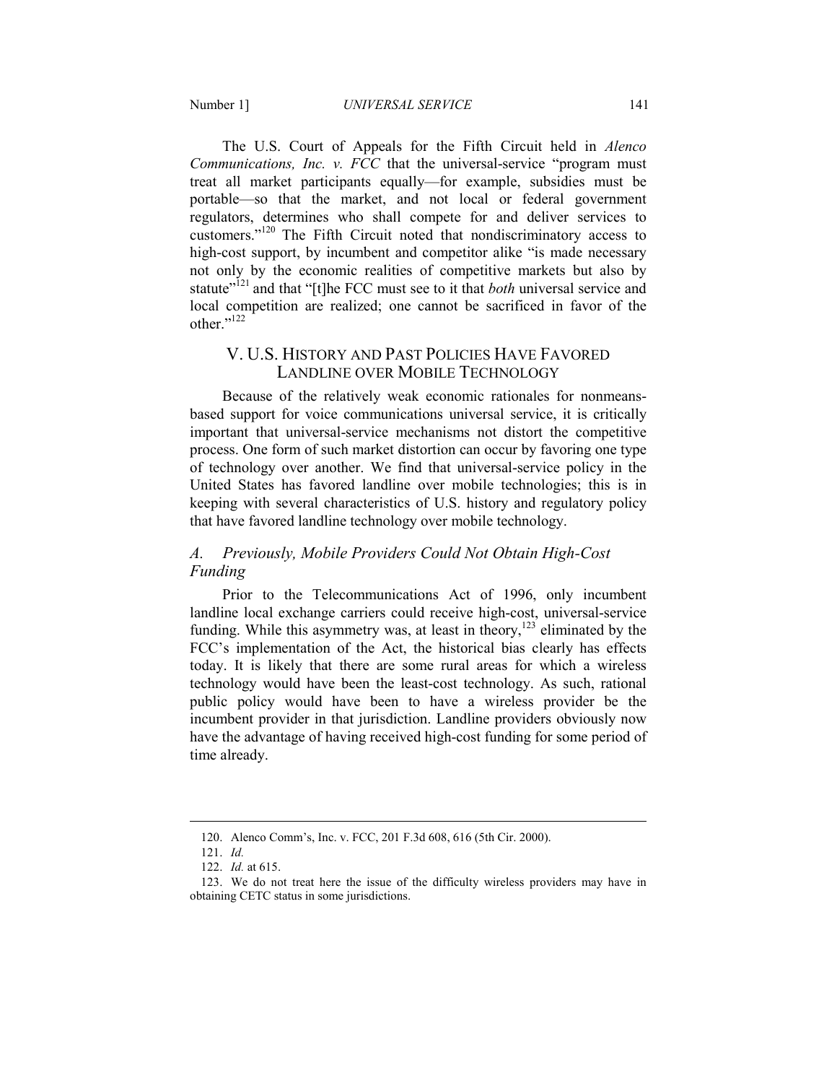The U.S. Court of Appeals for the Fifth Circuit held in *Alenco Communications, Inc. v. FCC* that the universal-service "program must treat all market participants equally—for example, subsidies must be portable—so that the market, and not local or federal government regulators, determines who shall compete for and deliver services to customers."<sup>120</sup> The Fifth Circuit noted that nondiscriminatory access to high-cost support, by incumbent and competitor alike "is made necessary not only by the economic realities of competitive markets but also by statute<sup>"121</sup> and that "[t]he FCC must see to it that *both* universal service and local competition are realized; one cannot be sacrificed in favor of the other."<sup>122</sup>

# V. U.S. HISTORY AND PAST POLICIES HAVE FAVORED LANDLINE OVER MOBILE TECHNOLOGY

Because of the relatively weak economic rationales for nonmeansbased support for voice communications universal service, it is critically important that universal-service mechanisms not distort the competitive process. One form of such market distortion can occur by favoring one type of technology over another. We find that universal-service policy in the United States has favored landline over mobile technologies; this is in keeping with several characteristics of U.S. history and regulatory policy that have favored landline technology over mobile technology.

# A. Previously, Mobile Providers Could Not Obtain High-Cost *Funding*

Prior to the Telecommunications Act of 1996, only incumbent landline local exchange carriers could receive high-cost, universal-service funding. While this asymmetry was, at least in theory,<sup>123</sup> eliminated by the FCC's implementation of the Act, the historical bias clearly has effects today. It is likely that there are some rural areas for which a wireless technology would have been the least-cost technology. As such, rational public policy would have been to have a wireless provider be the incumbent provider in that jurisdiction. Landline providers obviously now have the advantage of having received high-cost funding for some period of time already.

 <sup>120.</sup> Alenco Comm's, Inc. v. FCC, 201 F.3d 608, 616 (5th Cir. 2000).

 <sup>121.</sup> *Id.*

<sup>122.</sup> *Id.* at 615.

 <sup>123.</sup> We do not treat here the issue of the difficulty wireless providers may have in obtaining CETC status in some jurisdictions.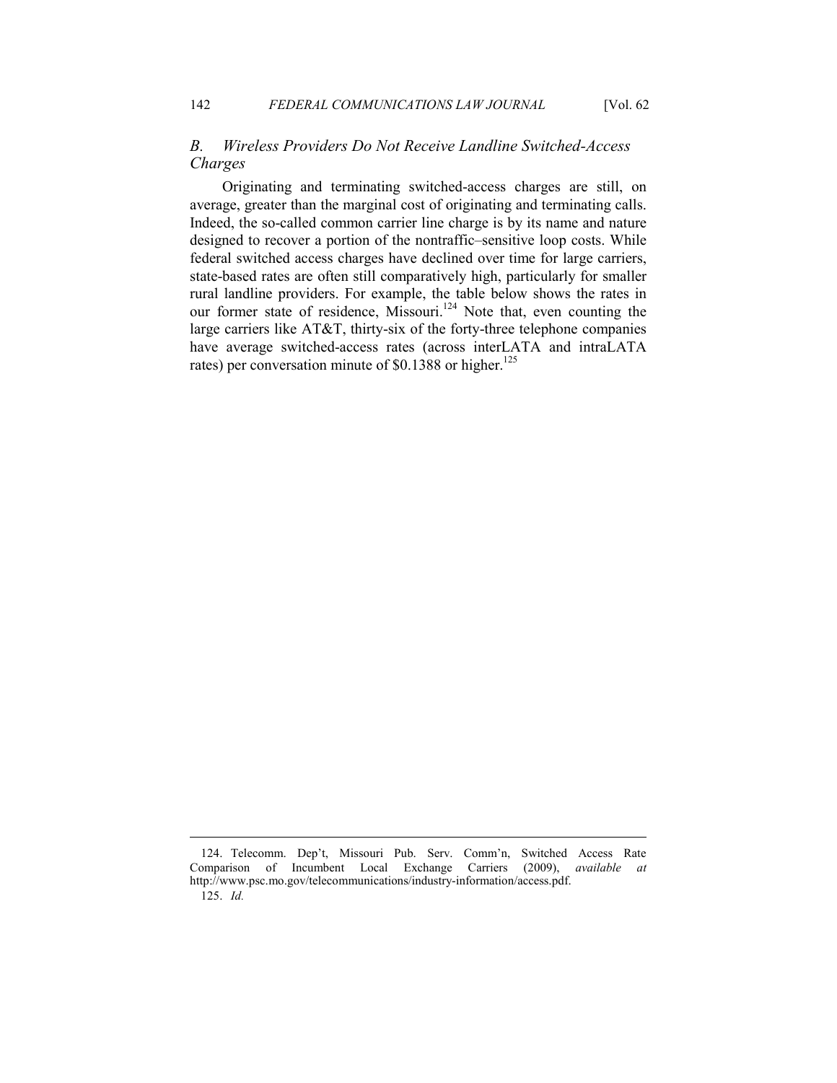# *B. Wireless Providers Do ot Receive Landline Switched-Access Charges*

Originating and terminating switched-access charges are still, on average, greater than the marginal cost of originating and terminating calls. Indeed, the so-called common carrier line charge is by its name and nature designed to recover a portion of the nontraffic–sensitive loop costs. While federal switched access charges have declined over time for large carriers, state-based rates are often still comparatively high, particularly for smaller rural landline providers. For example, the table below shows the rates in our former state of residence, Missouri.<sup>124</sup> Note that, even counting the large carriers like AT&T, thirty-six of the forty-three telephone companies have average switched-access rates (across interLATA and intraLATA rates) per conversation minute of \$0.1388 or higher.<sup>125</sup>

 <sup>124.</sup> Telecomm. Dep't, Missouri Pub. Serv. Comm'n, Switched Access Rate Comparison of Incumbent Local Exchange Carriers (2009), *available at* http://www.psc.mo.gov/telecommunications/industry-information/access.pdf.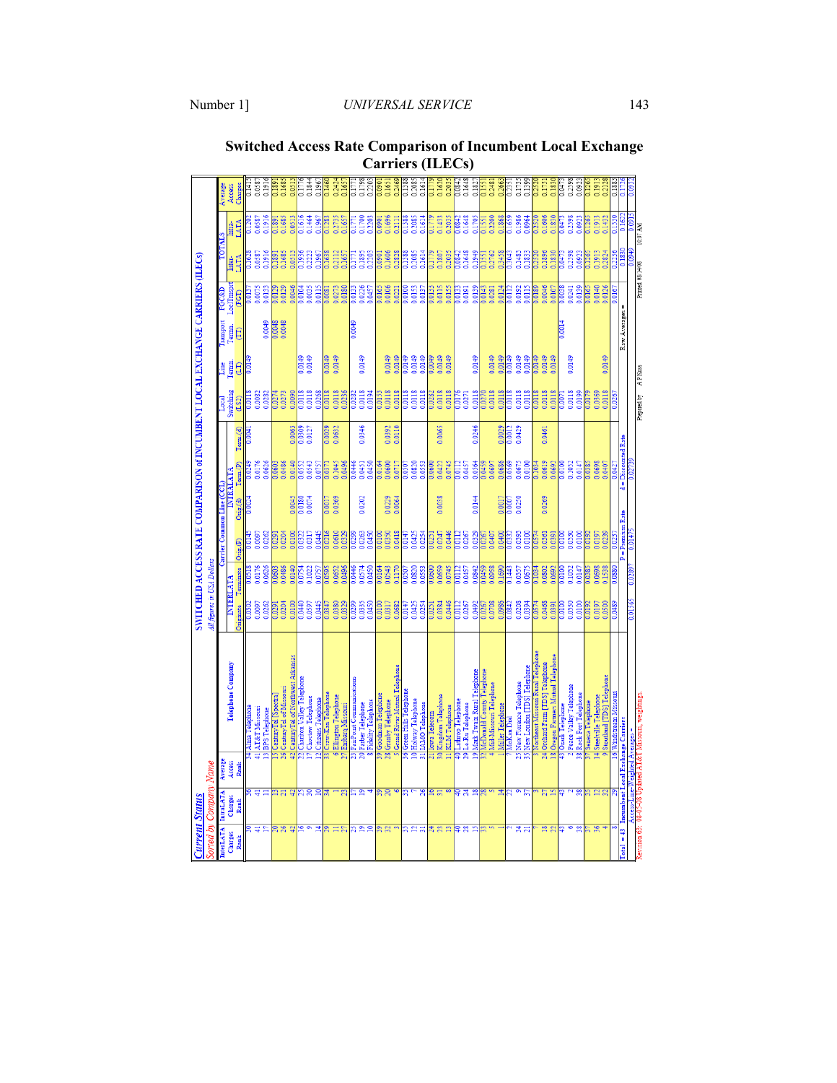| Current Status              | orted by Company.           | Name                           |                                                 | All figures in USA Dollars |                        |                                       |              | SWITCHED ACCESS RATE COMPARISON of INCUMBENT LOCAL EXCHANGE CARRIERS (ILECs) |         |                     |                  |                    |                  |                  |                  |                         |
|-----------------------------|-----------------------------|--------------------------------|-------------------------------------------------|----------------------------|------------------------|---------------------------------------|--------------|------------------------------------------------------------------------------|---------|---------------------|------------------|--------------------|------------------|------------------|------------------|-------------------------|
|                             |                             |                                |                                                 |                            |                        |                                       |              |                                                                              |         |                     |                  |                    |                  |                  |                  |                         |
| <b>InterLATA</b><br>Charges | <b>IntraLATA</b><br>Charges | Average<br>Access              | Telephone Company                               | <b>INTERLATA</b>           |                        | $\mathbb{R}$ arrier Common Line (CCL) |              | <b>INTERATATES</b>                                                           |         | Switching<br>Local  | Line<br>Termu    | ransport<br>Termn. | LoclTmsprt       | Inter-           | Intra-           | Access<br>Average       |
| Rank                        | Rank                        | Rank                           |                                                 | <b>Originate</b>           | Terminate              | $O$ ng. $(P)$                         | $O$ rig. (d) | Term.CP                                                                      | Term(d) | (LS2)               | G                | Ê                  | (FGT)            | LATA             | LATA             | Charges                 |
|                             |                             |                                | Alma Telephon                                   |                            |                        |                                       |              |                                                                              |         |                     |                  |                    |                  |                  |                  |                         |
|                             |                             |                                | AT&T Missouri                                   | 0.0097                     | 0.0176                 | 0.0097                                |              | 0.0176                                                                       |         | 0.0082              |                  |                    | 0.0075           | 0.0587           | 0.0587           | 0.0587                  |
|                             |                             |                                | <b>BPS</b> Telephone                            |                            | 0.0626                 | 0.0262                                |              | 0.0626                                                                       |         | 0.0282              |                  | 0.0049             | 0.0133           | 0.1916           | 0.1916           | 0.1916                  |
|                             |                             |                                | CenturyTel [Spectra]                            |                            | 0.060                  | 0.029                                 |              | <b>PO603</b>                                                                 |         | 0.0274              |                  | 0.0048             | 0.0129           | 0.189            | 0.1891           |                         |
|                             |                             | ত্ৰ                            | CenturyTel of Missouri                          | 0.0204                     | 0.0486                 | 0.0204                                |              | 0.0486                                                                       |         | 0.0273              |                  | 0.0048             | 0.0129           | 0.1685           | 0.1685           | 0.1685                  |
|                             |                             |                                | CenturyTel of Northwest Arkansas                | 0.0100                     | 0.0140                 | 0100                                  | 0.0045       | 0.0140                                                                       | 0.0063  | 060070              |                  |                    | 0.0046           | 651              | 0.0513           | 0.051                   |
|                             | ຂ                           |                                | Chariton Valley Teleph                          | 0.0597                     | 0.1022                 | 0.0317                                | 0.0074       | 0.0543                                                                       |         | 0.0118              | $rac{48}{100}$   |                    | 0.0035           | 0.2223           | 0.1464           | 0.1844                  |
|                             |                             |                                | Choctaw Telephone<br><b>Citizens Telephone</b>  | 3.0445                     | 0.0757                 | 1.0445                                |              | 0.0757                                                                       | 0.0127  | 0.0268              | 0.0149           |                    | 0.0115           | 0.1967           | 0.1967           | 0.196                   |
|                             |                             |                                | Craw-Kan Telephone                              | 0.034                      | ŝ                      | $\frac{10}{21}$                       | 0.001        |                                                                              | 0.0029  | 0.0118              | 0.0149           |                    |                  | 291.1            | 0.128            | 0.146                   |
|                             |                             |                                | Ellington Telephone                             | 0.0380                     | 0.0652                 | 0.0610                                | 0.0369       | 0.1045                                                                       | 0.0632  | 0.0118              | 0.0149           |                    | 0.0273           | 0.2112           | 0.2735           | 0.242                   |
|                             |                             |                                | Embarq Missouri                                 | 0.0329                     | 0.0496                 | 0.0329                                |              | 0.0496                                                                       |         | 0.0236              |                  |                    | 0.0180           | 0.1657           | 0.1657           | 0.165                   |
|                             |                             |                                | airPoint Communications                         |                            | Ĭ                      | <b>Pacio</b>                          |              |                                                                              |         |                     |                  |                    |                  |                  |                  |                         |
|                             |                             |                                | Fidelity Telephone<br>Farber Telephone          | 0.0335<br>0.0450           | 0.0450<br>0.0574       | 0.0263<br>0.0450                      | 0.0202       | 0.0450<br>0.0451                                                             | 0.0346  | 0.0118<br>0.0194    | 0.0149           |                    | 0.0226<br>0.0457 | 0.1895<br>0.2203 | 0.1700<br>0.2203 | 0.1798<br>0.220         |
|                             |                             |                                |                                                 |                            |                        |                                       |              |                                                                              |         |                     |                  |                    |                  |                  |                  |                         |
|                             | $\overline{2}$              | $\overline{\mathbf{S}}$        | Goodman Telephone<br><b>Granby Telephone</b>    | 0.0317                     | 0.0543<br>.0164        | 0.0350                                | 0.0229       | 0.0600                                                                       | 0.0392  | 0.0118              | 0.0149           |                    | 0.0106           | 0.1606           | 0.1696<br>8      | 0.1651<br>$\frac{8}{3}$ |
|                             |                             |                                | <b>Grand River Mutual Telephon</b>              | 0.0682                     | 0.1170                 | 0.0418                                | 0.0064       | 0.0717                                                                       | 0.0110  | 0.0118              | 0.0149           |                    | 0.0221           | 0.2828           | 0.2111           | 0.2469                  |
|                             |                             |                                | <b>Green Hills Telepho</b>                      |                            | Š                      | $\frac{4}{15}$                        |              |                                                                              |         |                     | Ê                |                    |                  |                  |                  | 0.1388                  |
|                             |                             |                                | <b>Holway Telephone</b>                         | 0.0425                     | 0.0820                 | 0.0425                                |              | 0.0820                                                                       |         | 0.0118              |                  |                    | 0.0153           | 1,2085           | 0.2085           | 0.2085                  |
|                             |                             |                                | <b>LAMO</b> Telephone                           | .0254                      | 1,0553                 | $\frac{54}{2}$                        |              | 0.0553                                                                       |         | 1,0118              | 871010           |                    | 0.0137           | 0.1614           | 0.1614           | 0.1614                  |
|                             |                             |                                | <b>Lowa Telecom</b>                             |                            | 060(                   |                                       |              | 1,060                                                                        |         |                     | 6700'            |                    |                  |                  |                  |                         |
|                             |                             | ន្ត                            | Kingdom Telephone                               | 0.0384<br>0.0446           | 0.0659                 | 0.0247                                | 0.0038       | 0.0422                                                                       | 0.0065  | 0.0118              | 0.0149           |                    | 0.0115           | 0.1807           | 0.1433           | 0.1620                  |
|                             |                             |                                | <b>KLM</b> Telephone                            |                            | 0.0745                 | 0.0446                                |              |                                                                              |         | 0.0118              |                  |                    | 0.0155           | 0.2035           | 0.2035           | 0.203                   |
|                             |                             |                                | athrop Telephone                                | $\frac{11}{2}$             | j                      | Ë                                     |              | noi 12                                                                       |         |                     |                  |                    |                  |                  | $\frac{1}{2}$    | 0.0842                  |
|                             | Ħ,                          | g                              | Le-Ru Telephone                                 | 0.0267                     | 0.0457                 | 0.0267                                |              | 0.0457                                                                       |         | 0.0271              |                  |                    | 0.0191           | 0.1648           | 0.1648           | 0.1648                  |
|                             |                             | ø                              | Mark Twain Rural Telephone                      | 0.0492                     | 0.0842                 | 0329                                  | 0.0144       | 0.0564                                                                       | 0.0246  | 0.0118              | 0.0149           |                    | 0.0139           | 66677            | 11705            | 0.1827                  |
|                             |                             |                                | <b>IcDonald County Telepho</b>                  | 0.0708                     | 0.0958                 | 0.0407                                |              | 0.0697                                                                       |         |                     |                  |                    |                  | 0.2762           | 0.2200           | 0.2481                  |
|                             |                             |                                | Mid-Missouri Telephone<br>Miller Telephone      | 0.0986                     | 0.1690                 | 0.0400                                | 0.0017       | 0.0686                                                                       | 0.0029  | 0.0118<br>0.0118    | 0.0149<br>0.0149 |                    | 0.0124<br>0.0281 | 0.3458           | 0.1868           | 0.266                   |
|                             |                             |                                | loKan Dial                                      |                            | $\frac{44}{1}$         |                                       | Š            |                                                                              | 0.0012  |                     | 3.0149           |                    |                  |                  |                  | 0.235                   |
|                             |                             |                                | New Florence Telephone                          | 0.0208                     | 0.0357                 | 3.0393                                | 0.0250       | 0.0675                                                                       | 0.0429  | 0.0118              | 0.0149           |                    | 0.0192           | 0.1483           | 0.1986           | 0.1735                  |
|                             |                             |                                | New London [TDS] Telephone                      | 0.0394                     | 0.0675                 | $\frac{8}{2}$                         |              | 0.0100                                                                       |         | 0.0118              | 0.0149           |                    | 0.0115           | 0.1833           | 0.0964           | 0.1399                  |
|                             |                             |                                | <b>Jortheast Missouri Rural Telephon</b>        | 0.057 <sup>2</sup>         | 21034                  | S                                     |              | 1034                                                                         |         | $rac{118}{116}$     | 671010<br>671010 |                    |                  |                  |                  |                         |
|                             | Ω                           |                                | 24 Orchard Farm [TDS] Telephone                 | 0.0468                     | 0.0802                 | 0.0361                                | 0.0269       | 0.0619                                                                       | 0.0461  | 0.0118              |                  |                    | 0.0046           | 0.1896           | 0.1606           | 0.175                   |
|                             |                             |                                | Oregon Farmers Mutual Telephone                 | 0.0391                     | 1,0692                 | 1,0391                                |              | 0.0692                                                                       |         | 0.0118              | 0.0149           |                    | 0.0107           | 1,1830           | 0.1830           | 0.183                   |
|                             |                             |                                | Ozark Telephone                                 |                            |                        |                                       |              |                                                                              |         |                     |                  |                    |                  |                  |                  | 700(                    |
|                             |                             |                                | Peace Valley Telephone                          | 0.0530<br>0.0100           | 0.1052                 | 0.0530                                |              | 0.1052                                                                       |         | 0.0118              | 0.0149           |                    | 0.0139<br>0.0241 | 0.2598           | 0.2598           | 0.2598                  |
|                             |                             |                                | Rock Port Telephone                             |                            | 0.0147                 | 10100                                 |              | 0.0147                                                                       |         | 0.0199              |                  |                    |                  | 1,0923           | 1092             | 0.092                   |
|                             |                             |                                | <b>Steelville Telephone</b><br>Semeca Telephone | 0.0197<br><b>D.O.LY.</b>   | 0.0698<br><b>BSS01</b> | 0.0197<br>0.019                       |              | 0.0698<br>0385                                                               |         | 0.0369<br>0.0175    |                  |                    | 0.0140           | 0.1913           | 0.1913           | 0.191                   |
|                             |                             |                                | Stoutland [TDS] Telephone                       | 0.0500                     |                        | 0.0239                                |              | 0.0407                                                                       |         | 0.0118              | 0.0149           |                    | 0.0126           |                  | 0.1432           |                         |
|                             |                             |                                | Vindstream Missour                              |                            |                        |                                       |              | 0.0427                                                                       |         |                     |                  |                    |                  |                  |                  |                         |
| $cal = 43$                  | Incumbent I                 | <b>Local Exchange Carriers</b> |                                                 |                            |                        | = Premium                             |              | $d =$ Discounts                                                              |         |                     |                  | Raw Averages =     |                  |                  |                  |                         |
|                             |                             |                                |                                                 |                            |                        |                                       |              |                                                                              |         |                     |                  |                    |                  |                  |                  |                         |
| evision 63                  |                             |                                |                                                 |                            |                        |                                       |              |                                                                              |         | Prepared by AP Kuss |                  |                    |                  | Printed 08/14/08 | 10:07 AM         |                         |

**Switched Access Rate Comparison of Incumbent Local Exchange Carriers (ILECs)**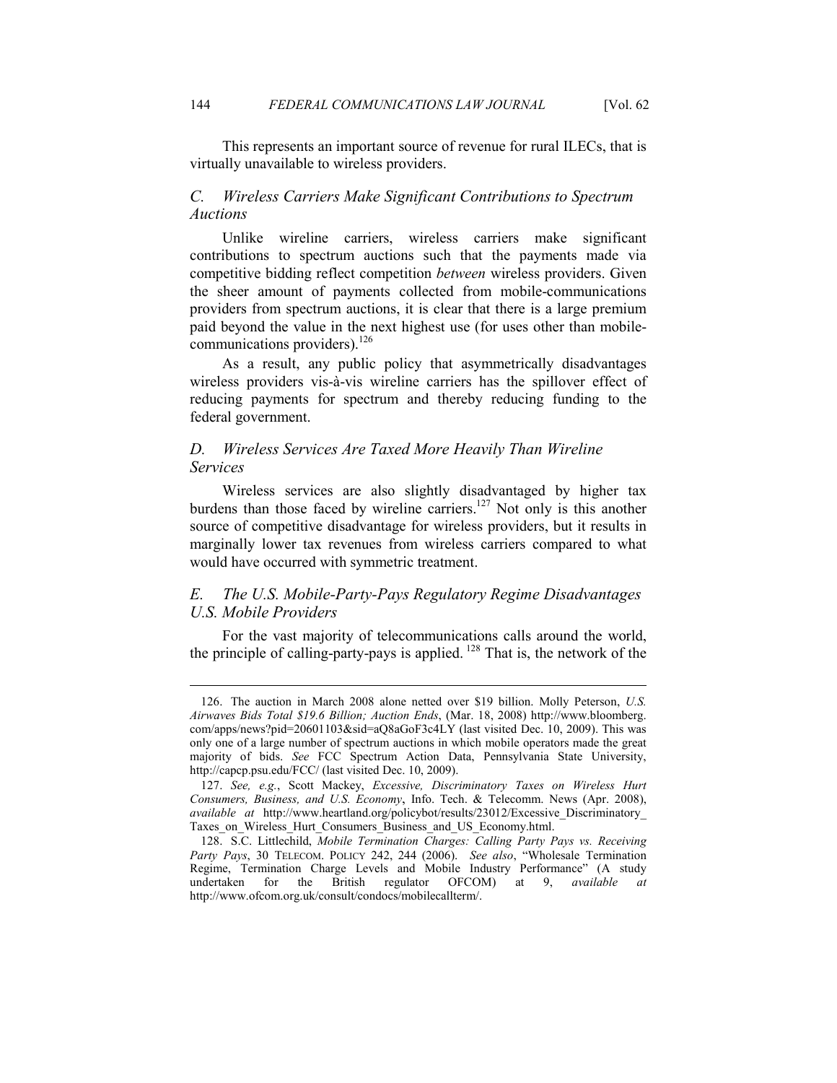This represents an important source of revenue for rural ILECs, that is virtually unavailable to wireless providers.

# *C. Wireless Carriers Make Significant Contributions to Spectrum Auctions*

Unlike wireline carriers, wireless carriers make significant contributions to spectrum auctions such that the payments made via competitive bidding reflect competition *between* wireless providers. Given the sheer amount of payments collected from mobile-communications providers from spectrum auctions, it is clear that there is a large premium paid beyond the value in the next highest use (for uses other than mobilecommunications providers).<sup>126</sup>

As a result, any public policy that asymmetrically disadvantages wireless providers vis-à-vis wireline carriers has the spillover effect of reducing payments for spectrum and thereby reducing funding to the federal government.

# *D. Wireless Services Are Taxed More Heavily Than Wireline Services*

Wireless services are also slightly disadvantaged by higher tax burdens than those faced by wireline carriers.<sup>127</sup> Not only is this another source of competitive disadvantage for wireless providers, but it results in marginally lower tax revenues from wireless carriers compared to what would have occurred with symmetric treatment.

# *E. The U.S. Mobile-Party-Pays Regulatory Regime Disadvantages U.S. Mobile Providers*

For the vast majority of telecommunications calls around the world, the principle of calling-party-pays is applied.<sup>128</sup> That is, the network of the

 <sup>126.</sup> The auction in March 2008 alone netted over \$19 billion. Molly Peterson, *U.S. Airwaves Bids Total \$19.6 Billion; Auction Ends*, (Mar. 18, 2008) http://www.bloomberg. com/apps/news?pid=20601103&sid=aQ8aGoF3c4LY (last visited Dec. 10, 2009). This was only one of a large number of spectrum auctions in which mobile operators made the great majority of bids. *See* FCC Spectrum Action Data, Pennsylvania State University, http://capcp.psu.edu/FCC/ (last visited Dec. 10, 2009).

 <sup>127.</sup> *See, e.g.*, Scott Mackey, *Excessive, Discriminatory Taxes on Wireless Hurt Consumers, Business, and U.S. Economy*, Info. Tech. & Telecomm. News (Apr. 2008), *available at* http://www.heartland.org/policybot/results/23012/Excessive\_Discriminatory\_ Taxes on Wireless Hurt Consumers Business and US Economy.html.

 <sup>128.</sup> S.C. Littlechild, *Mobile Termination Charges: Calling Party Pays vs. Receiving Party Pays*, 30 TELECOM. POLICY 242, 244 (2006). *See also*, "Wholesale Termination Regime, Termination Charge Levels and Mobile Industry Performance" (A study undertaken for the British regulator OFCOM) at 9. available at for the British regulator OFCOM) at 9, *available at* http://www.ofcom.org.uk/consult/condocs/mobilecallterm/.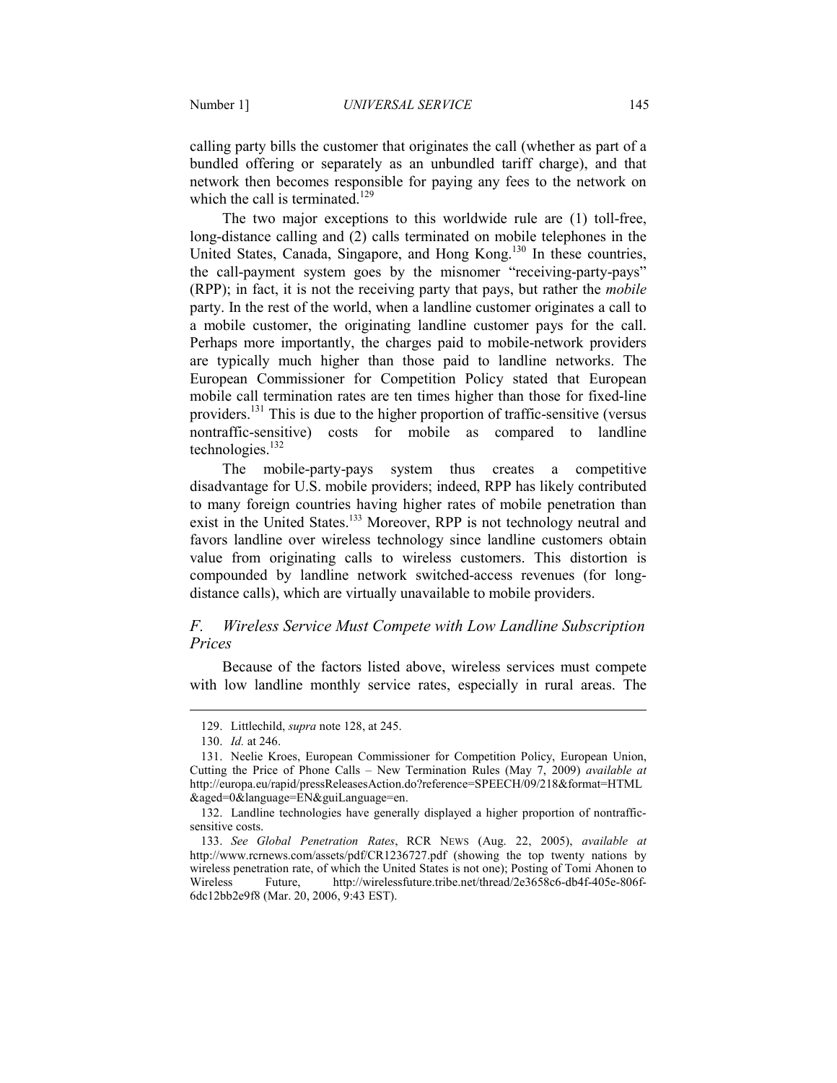calling party bills the customer that originates the call (whether as part of a bundled offering or separately as an unbundled tariff charge), and that network then becomes responsible for paying any fees to the network on which the call is terminated.<sup>129</sup>

The two major exceptions to this worldwide rule are (1) toll-free, long-distance calling and (2) calls terminated on mobile telephones in the United States, Canada, Singapore, and Hong Kong.<sup>130</sup> In these countries, the call-payment system goes by the misnomer "receiving-party-pays" (RPP); in fact, it is not the receiving party that pays, but rather the *mobile* party. In the rest of the world, when a landline customer originates a call to a mobile customer, the originating landline customer pays for the call. Perhaps more importantly, the charges paid to mobile-network providers are typically much higher than those paid to landline networks. The European Commissioner for Competition Policy stated that European mobile call termination rates are ten times higher than those for fixed-line providers.<sup>131</sup> This is due to the higher proportion of traffic-sensitive (versus nontraffic-sensitive) costs for mobile as compared to landline technologies.<sup>132</sup>

The mobile-party-pays system thus creates a competitive disadvantage for U.S. mobile providers; indeed, RPP has likely contributed to many foreign countries having higher rates of mobile penetration than exist in the United States.<sup>133</sup> Moreover, RPP is not technology neutral and favors landline over wireless technology since landline customers obtain value from originating calls to wireless customers. This distortion is compounded by landline network switched-access revenues (for longdistance calls), which are virtually unavailable to mobile providers.

# *F. Wireless Service Must Compete with Low Landline Subscription Prices*

Because of the factors listed above, wireless services must compete with low landline monthly service rates, especially in rural areas. The

 <sup>129.</sup> Littlechild, *supra* note 128, at 245.

 <sup>130.</sup> *Id.* at 246.

 <sup>131.</sup> Neelie Kroes, European Commissioner for Competition Policy, European Union, Cutting the Price of Phone Calls – New Termination Rules (May 7, 2009) *available at* http://europa.eu/rapid/pressReleasesAction.do?reference=SPEECH/09/218&format=HTML &aged=0&language=EN&guiLanguage=en.

 <sup>132.</sup> Landline technologies have generally displayed a higher proportion of nontrafficsensitive costs.

 <sup>133.</sup> *See Global Penetration Rates*, RCR NEWS (Aug. 22, 2005), *available at* http://www.rcrnews.com/assets/pdf/CR1236727.pdf (showing the top twenty nations by wireless penetration rate, of which the United States is not one); Posting of Tomi Ahonen to Wireless Future, http://wirelessfuture.tribe.net/thread/2e3658c6-db4f-405e-806f-6dc12bb2e9f8 (Mar. 20, 2006, 9:43 EST).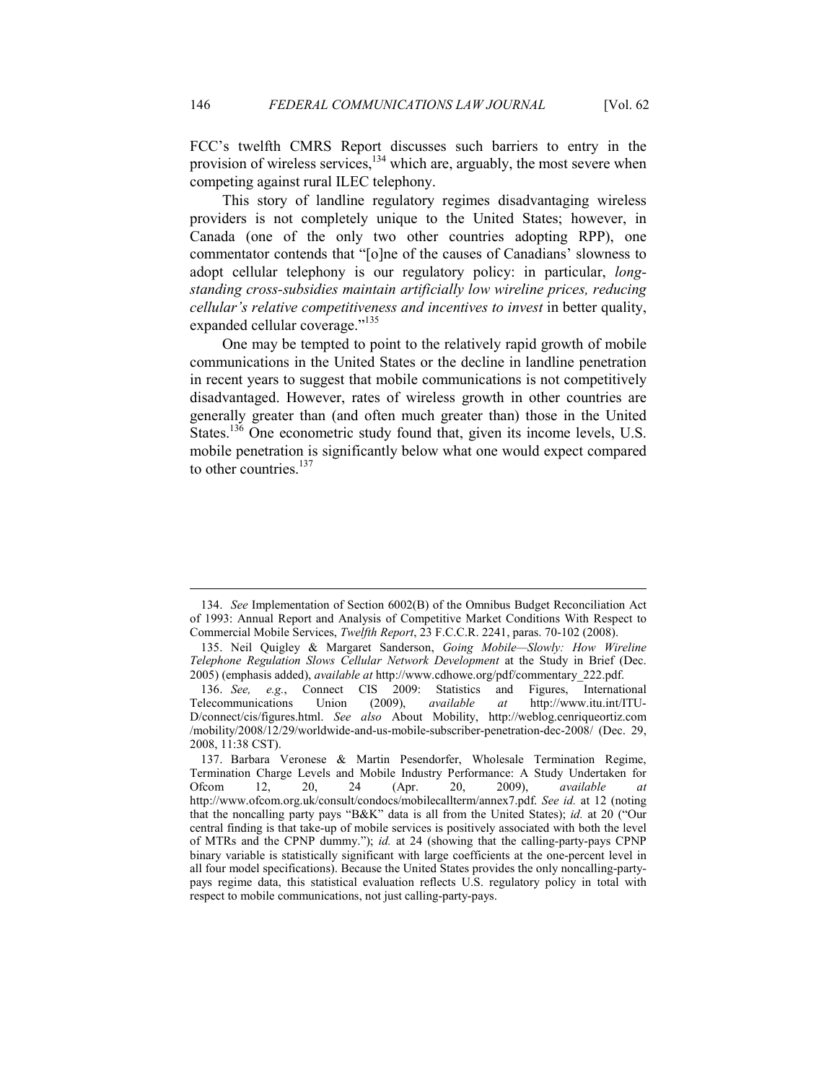FCC's twelfth CMRS Report discusses such barriers to entry in the provision of wireless services,<sup>134</sup> which are, arguably, the most severe when competing against rural ILEC telephony.

This story of landline regulatory regimes disadvantaging wireless providers is not completely unique to the United States; however, in Canada (one of the only two other countries adopting RPP), one commentator contends that "[o]ne of the causes of Canadians' slowness to adopt cellular telephony is our regulatory policy: in particular, *longstanding cross-subsidies maintain artificially low wireline prices, reducing cellular's relative competitiveness and incentives to invest* in better quality, expanded cellular coverage."<sup>135</sup>

One may be tempted to point to the relatively rapid growth of mobile communications in the United States or the decline in landline penetration in recent years to suggest that mobile communications is not competitively disadvantaged. However, rates of wireless growth in other countries are generally greater than (and often much greater than) those in the United States.<sup>136</sup> One econometric study found that, given its income levels, U.S. mobile penetration is significantly below what one would expect compared to other countries. $137$ 

 <sup>134.</sup> *See* Implementation of Section 6002(B) of the Omnibus Budget Reconciliation Act of 1993: Annual Report and Analysis of Competitive Market Conditions With Respect to Commercial Mobile Services, *Twelfth Report*, 23 F.C.C.R. 2241, paras. 70-102 (2008).

 <sup>135.</sup> Neil Quigley & Margaret Sanderson, *Going Mobile—Slowly: How Wireline Telephone Regulation Slows Cellular Network Development* at the Study in Brief (Dec. 2005) (emphasis added), *available at* http://www.cdhowe.org/pdf/commentary\_222.pdf.

 <sup>136.</sup> *See, e.g.*, Connect CIS 2009: Statistics and Figures, International Telecommunications Union (2009), *available at* http://www.itu.int/ITU-D/connect/cis/figures.html. *See also* About Mobility, http://weblog.cenriqueortiz.com /mobility/2008/12/29/worldwide-and-us-mobile-subscriber-penetration-dec-2008/ (Dec. 29, 2008, 11:38 CST).

 <sup>137.</sup> Barbara Veronese & Martin Pesendorfer, Wholesale Termination Regime, Termination Charge Levels and Mobile Industry Performance: A Study Undertaken for Ofcom 12, 20, 24 (Apr. 20, 2009), *available at*  http://www.ofcom.org.uk/consult/condocs/mobilecallterm/annex7.pdf. *See id.* at 12 (noting that the noncalling party pays "B&K" data is all from the United States); *id.* at 20 ("Our central finding is that take-up of mobile services is positively associated with both the level of MTRs and the CPNP dummy."); *id.* at 24 (showing that the calling-party-pays CPNP binary variable is statistically significant with large coefficients at the one-percent level in all four model specifications). Because the United States provides the only noncalling-partypays regime data, this statistical evaluation reflects U.S. regulatory policy in total with respect to mobile communications, not just calling-party-pays.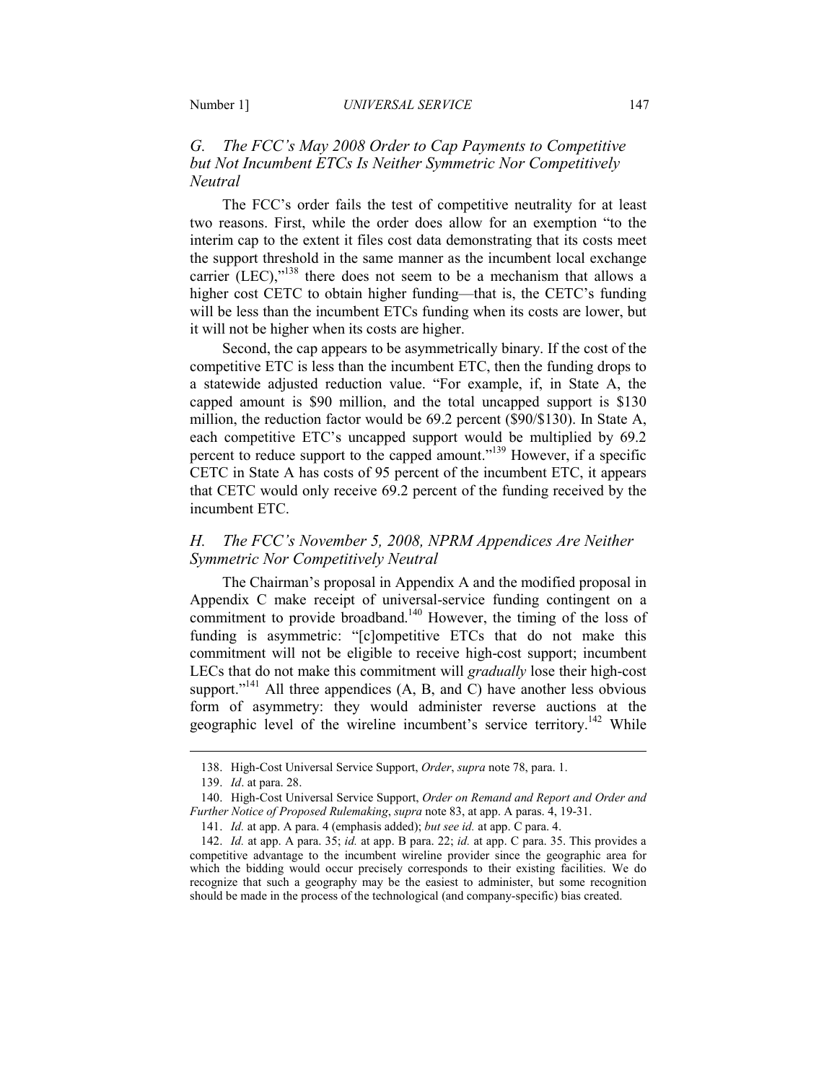# *G. The FCC's May 2008 Order to Cap Payments to Competitive but Not Incumbent ETCs Is Neither Symmetric Nor Competitively Neutral*

The FCC's order fails the test of competitive neutrality for at least two reasons. First, while the order does allow for an exemption "to the interim cap to the extent it files cost data demonstrating that its costs meet the support threshold in the same manner as the incumbent local exchange carrier (LEC), $v^{138}$  there does not seem to be a mechanism that allows a higher cost CETC to obtain higher funding—that is, the CETC's funding will be less than the incumbent ETCs funding when its costs are lower, but it will not be higher when its costs are higher.

Second, the cap appears to be asymmetrically binary. If the cost of the competitive ETC is less than the incumbent ETC, then the funding drops to a statewide adjusted reduction value. "For example, if, in State A, the capped amount is \$90 million, and the total uncapped support is \$130 million, the reduction factor would be 69.2 percent (\$90/\$130). In State A, each competitive ETC's uncapped support would be multiplied by 69.2 percent to reduce support to the capped amount."<sup>139</sup> However, if a specific CETC in State A has costs of 95 percent of the incumbent ETC, it appears that CETC would only receive 69.2 percent of the funding received by the incumbent ETC.

# *H. The FCC's November 5, 2008, NPRM Appendices Are Neither Symmetric Nor Competitively Neutral*

The Chairman's proposal in Appendix A and the modified proposal in Appendix C make receipt of universal-service funding contingent on a commitment to provide broadband.<sup>140</sup> However, the timing of the loss of funding is asymmetric: "[c]ompetitive ETCs that do not make this commitment will not be eligible to receive high-cost support; incumbent LECs that do not make this commitment will *gradually* lose their high-cost support."<sup>141</sup> All three appendices  $(A, B, and C)$  have another less obvious form of asymmetry: they would administer reverse auctions at the geographic level of the wireline incumbent's service territory.<sup>142</sup> While

 <sup>138.</sup> High-Cost Universal Service Support, *Order*, *supra* note 78, para. 1.

 <sup>139.</sup> *Id*. at para. 28.

 <sup>140.</sup> High-Cost Universal Service Support, *Order on Remand and Report and Order and Further Notice of Proposed Rulemaking, supra* note 83, at app. A paras. 4, 19-31.

 <sup>141.</sup> *Id.* at app. A para. 4 (emphasis added); *but see id.* at app. C para. 4.

 <sup>142.</sup> *Id.* at app. A para. 35; *id.* at app. B para. 22; *id.* at app. C para. 35. This provides a competitive advantage to the incumbent wireline provider since the geographic area for which the bidding would occur precisely corresponds to their existing facilities. We do recognize that such a geography may be the easiest to administer, but some recognition should be made in the process of the technological (and company-specific) bias created.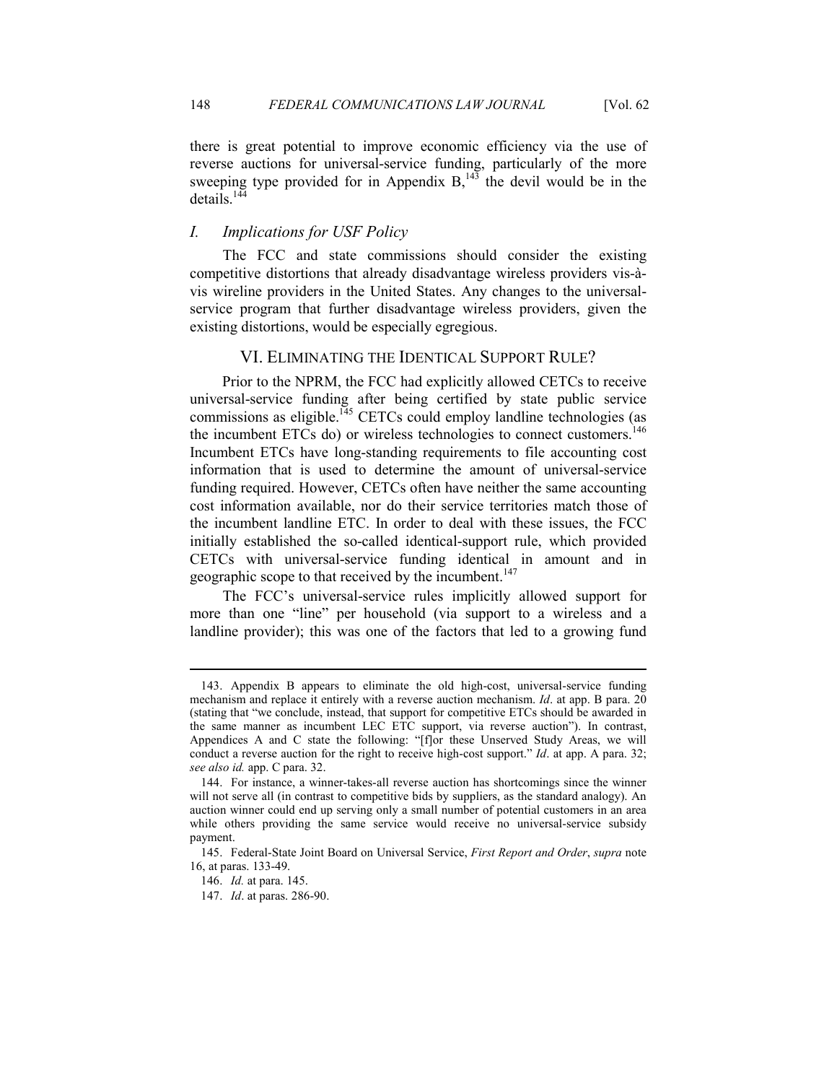there is great potential to improve economic efficiency via the use of reverse auctions for universal-service funding, particularly of the more sweeping type provided for in Appendix  $B<sub>1</sub><sup>143</sup>$  the devil would be in the details.<sup>144</sup>

## *I. Implications for USF Policy*

The FCC and state commissions should consider the existing competitive distortions that already disadvantage wireless providers vis-àvis wireline providers in the United States. Any changes to the universalservice program that further disadvantage wireless providers, given the existing distortions, would be especially egregious.

## VI. ELIMINATING THE IDENTICAL SUPPORT RULE?

Prior to the NPRM, the FCC had explicitly allowed CETCs to receive universal-service funding after being certified by state public service  $commissions$  as eligible.<sup>145</sup> CETCs could employ landline technologies (as the incumbent ETCs do) or wireless technologies to connect customers.<sup>146</sup> Incumbent ETCs have long-standing requirements to file accounting cost information that is used to determine the amount of universal-service funding required. However, CETCs often have neither the same accounting cost information available, nor do their service territories match those of the incumbent landline ETC. In order to deal with these issues, the FCC initially established the so-called identical-support rule, which provided CETCs with universal-service funding identical in amount and in geographic scope to that received by the incumbent.<sup>147</sup>

 The FCC's universal-service rules implicitly allowed support for more than one "line" per household (via support to a wireless and a landline provider); this was one of the factors that led to a growing fund

 <sup>143.</sup> Appendix B appears to eliminate the old high-cost, universal-service funding mechanism and replace it entirely with a reverse auction mechanism. *Id*. at app. B para. 20 (stating that "we conclude, instead, that support for competitive ETCs should be awarded in the same manner as incumbent LEC ETC support, via reverse auction"). In contrast, Appendices A and C state the following: "[f]or these Unserved Study Areas, we will conduct a reverse auction for the right to receive high-cost support." *Id*. at app. A para. 32; *see also id.* app. C para. 32.

 <sup>144.</sup> For instance, a winner-takes-all reverse auction has shortcomings since the winner will not serve all (in contrast to competitive bids by suppliers, as the standard analogy). An auction winner could end up serving only a small number of potential customers in an area while others providing the same service would receive no universal-service subsidy payment.

 <sup>145.</sup> Federal-State Joint Board on Universal Service, *First Report and Order*, *supra* note 16, at paras. 133-49.

 <sup>146.</sup> *Id.* at para. 145.

 <sup>147.</sup> *Id*. at paras. 286-90.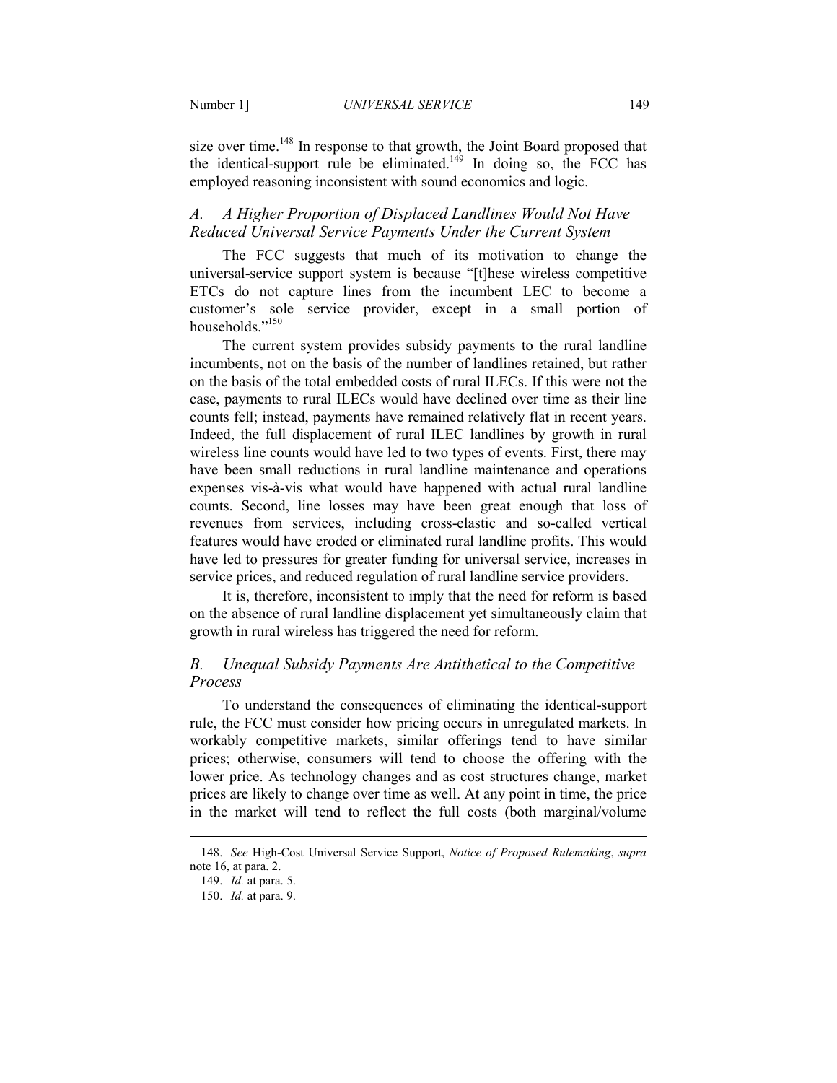size over time.<sup>148</sup> In response to that growth, the Joint Board proposed that the identical-support rule be eliminated.<sup>149</sup> In doing so, the FCC has employed reasoning inconsistent with sound economics and logic.

# A. A Higher Proportion of Displaced Landlines Would Not Have *Reduced Universal Service Payments Under the Current System*

The FCC suggests that much of its motivation to change the universal-service support system is because "[t]hese wireless competitive ETCs do not capture lines from the incumbent LEC to become a customer's sole service provider, except in a small portion of households."<sup>150</sup>

The current system provides subsidy payments to the rural landline incumbents, not on the basis of the number of landlines retained, but rather on the basis of the total embedded costs of rural ILECs. If this were not the case, payments to rural ILECs would have declined over time as their line counts fell; instead, payments have remained relatively flat in recent years. Indeed, the full displacement of rural ILEC landlines by growth in rural wireless line counts would have led to two types of events. First, there may have been small reductions in rural landline maintenance and operations expenses vis-à-vis what would have happened with actual rural landline counts. Second, line losses may have been great enough that loss of revenues from services, including cross-elastic and so-called vertical features would have eroded or eliminated rural landline profits. This would have led to pressures for greater funding for universal service, increases in service prices, and reduced regulation of rural landline service providers.

It is, therefore, inconsistent to imply that the need for reform is based on the absence of rural landline displacement yet simultaneously claim that growth in rural wireless has triggered the need for reform.

## *B. Unequal Subsidy Payments Are Antithetical to the Competitive Process*

To understand the consequences of eliminating the identical-support rule, the FCC must consider how pricing occurs in unregulated markets. In workably competitive markets, similar offerings tend to have similar prices; otherwise, consumers will tend to choose the offering with the lower price. As technology changes and as cost structures change, market prices are likely to change over time as well. At any point in time, the price in the market will tend to reflect the full costs (both marginal/volume

 <sup>148.</sup> *See* High-Cost Universal Service Support, *otice of Proposed Rulemaking*, *supra* note 16, at para. 2.

 <sup>149.</sup> *Id.* at para. 5.

 <sup>150.</sup> *Id.* at para. 9.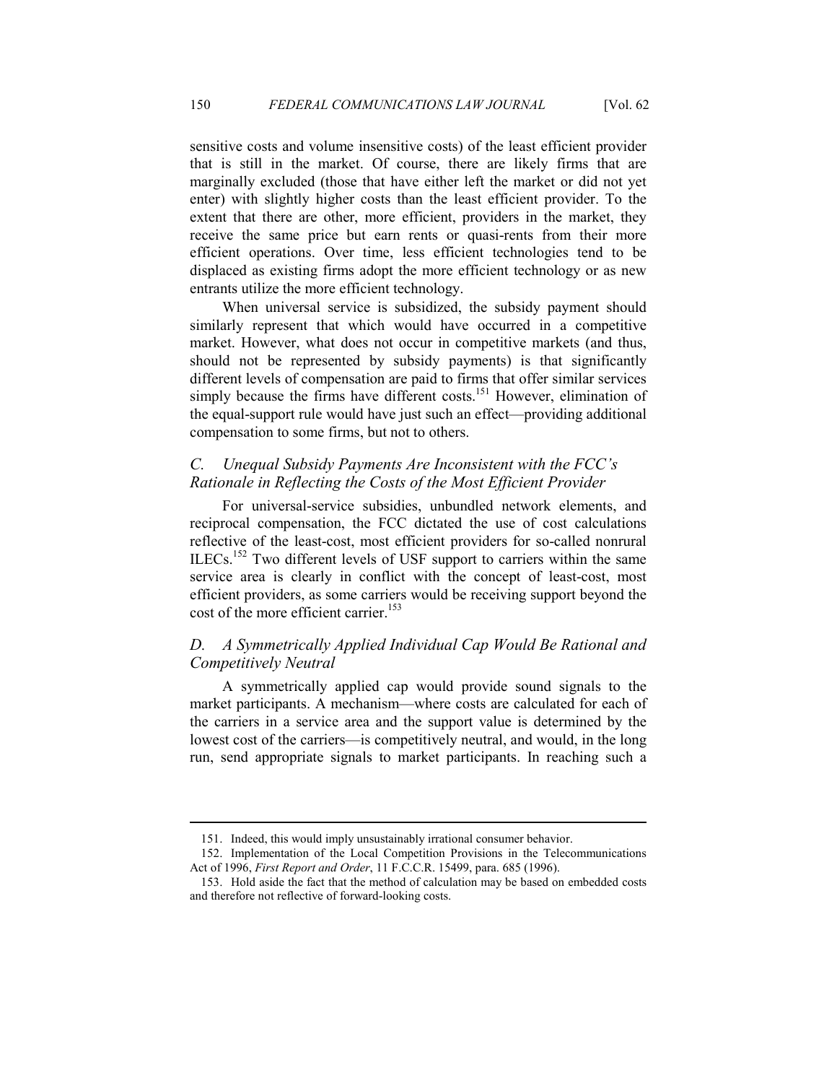sensitive costs and volume insensitive costs) of the least efficient provider that is still in the market. Of course, there are likely firms that are marginally excluded (those that have either left the market or did not yet enter) with slightly higher costs than the least efficient provider. To the extent that there are other, more efficient, providers in the market, they receive the same price but earn rents or quasi-rents from their more efficient operations. Over time, less efficient technologies tend to be displaced as existing firms adopt the more efficient technology or as new entrants utilize the more efficient technology.

When universal service is subsidized, the subsidy payment should similarly represent that which would have occurred in a competitive market. However, what does not occur in competitive markets (and thus, should not be represented by subsidy payments) is that significantly different levels of compensation are paid to firms that offer similar services simply because the firms have different costs.<sup>151</sup> However, elimination of the equal-support rule would have just such an effect—providing additional compensation to some firms, but not to others.

# *C. Unequal Subsidy Payments Are Inconsistent with the FCC's Rationale in Reflecting the Costs of the Most Efficient Provider*

For universal-service subsidies, unbundled network elements, and reciprocal compensation, the FCC dictated the use of cost calculations reflective of the least-cost, most efficient providers for so-called nonrural ILECs.<sup>152</sup> Two different levels of USF support to carriers within the same service area is clearly in conflict with the concept of least-cost, most efficient providers, as some carriers would be receiving support beyond the cost of the more efficient carrier.<sup>153</sup>

# *D. A Symmetrically Applied Individual Cap Would Be Rational and Competitively Neutral*

A symmetrically applied cap would provide sound signals to the market participants. A mechanism—where costs are calculated for each of the carriers in a service area and the support value is determined by the lowest cost of the carriers—is competitively neutral, and would, in the long run, send appropriate signals to market participants. In reaching such a

 <sup>151.</sup> Indeed, this would imply unsustainably irrational consumer behavior.

 <sup>152.</sup> Implementation of the Local Competition Provisions in the Telecommunications Act of 1996, *First Report and Order*, 11 F.C.C.R. 15499, para. 685 (1996).

 <sup>153.</sup> Hold aside the fact that the method of calculation may be based on embedded costs and therefore not reflective of forward-looking costs.